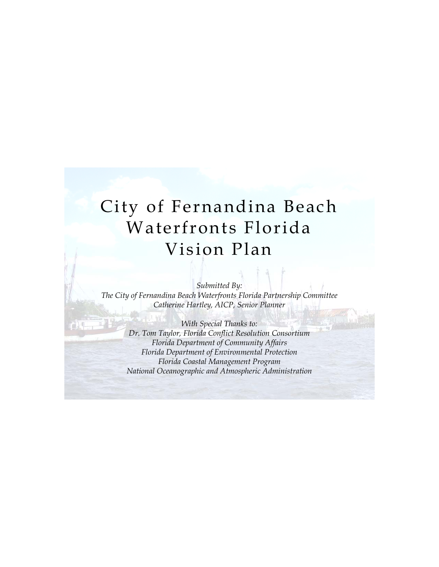*Submitted By: The City of Fernandina Beach Waterfronts Florida Partnership Committee Catherine Hartley, AICP, Senior Planner* 

*With Special Thanks to: Dr. Tom Taylor, Florida Conflict Resolution Consortium Florida Department of Community Affairs Florida Department of Environmental Protection Florida Coastal Management Program National Oceanographic and Atmospheric Administration*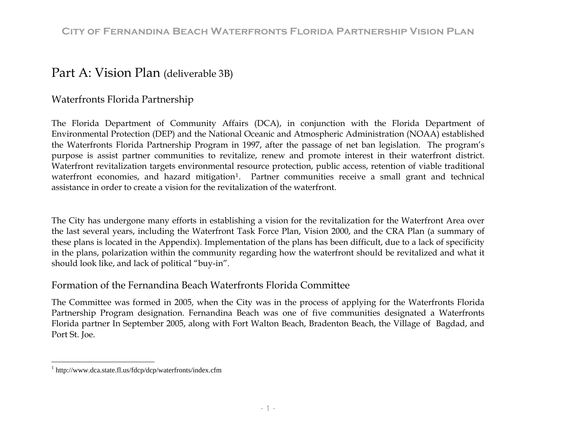# Part A: Vision Plan (deliverable 3B)

### Waterfronts Florida Partnership

The Florida Department of Community Affairs (DCA), in conjunction with the Florida Department of Environmental Protection (DEP) and the National Oceanic and Atmospheric Administration (NOAA) established the Waterfronts Florida Partnership Program in 1997, after the passage of net ban legislation. The program's purpose is assist partner communities to revitalize, renew and promote interest in their waterfront district. Waterfront revitalization targets environmental resource protection, public access, retention of viable traditional waterfront economies, and hazard mitigation<sup>[1](#page-1-0)</sup>. Partner communities receive a small grant and technical assistance in order to create a vision for the revitalization of the waterfront.

The City has undergone many efforts in establishing a vision for the revitalization for the Waterfront Area over the last several years, including the Waterfront Task Force Plan, Vision 2000, and the CRA Plan (a summary of these plans is located in the Appendix). Implementation of the plans has been difficult, due to a lack of specificity in the plans, polarization within the community regarding how the waterfront should be revitalized and what it should look like, and lack of political "buy-in".

### Formation of the Fernandina Beach Waterfronts Florida Committee

The Committee was formed in 2005, when the City was in the process of applying for the Waterfronts Florida Partnership Program designation. Fernandina Beach was one of five communities designated a Waterfronts Florida partner In September 2005, along with Fort Walton Beach, Bradenton Beach, the Village of Bagdad, and Port St. Joe.

<span id="page-1-0"></span><sup>1</sup> http://www.dca.state.fl.us/fdcp/dcp/waterfronts/index.cfm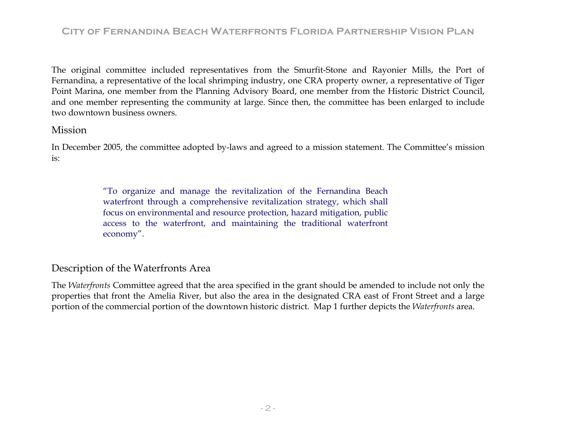The original committee included representatives from the Smurfit-Stone and Rayonier Mills, the Port of Fernandina, a representative of the local shrimping industry, one CRA property owner, a representative of Tiger Point Marina, one member from the Planning Advisory Board, one member from the Historic District Council, and one member representing the community at large. Since then, the committee has been enlarged to include two downtown business owners.

### Mission

In December 2005, the committee adopted by-laws and agreed to a mission statement. The Committee's mission is:

> "To organize and manage the revitalization of the Fernandina Beach waterfront through a comprehensive revitalization strategy, which shall focus on environmental and resource protection, hazard mitigation, public access to the waterfront, and maintaining the traditional waterfront economy".

### Description of the Waterfronts Area

The *Waterfronts* Committee agreed that the area specified in the grant should be amended to include not only the properties that front the Amelia River, but also the area in the designated CRA east of Front Street and a large portion of the commercial portion of the downtown historic district. Map 1 further depicts the *Waterfronts* area.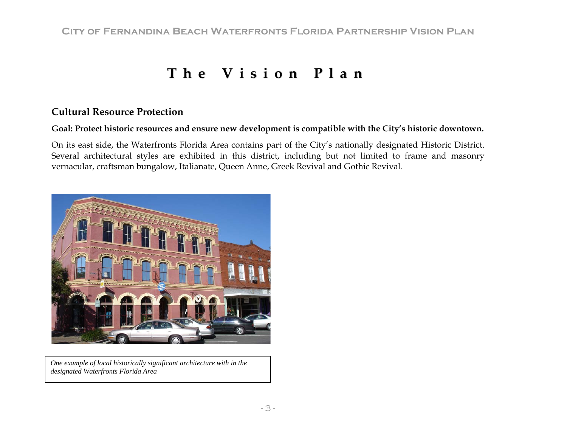# **The Vi s i o nPl a n**

### **Cultural Resource Protection**

### **Goal: Protect historic resources and ensure new development is compatible with the City's historic downtown.**

On its east side, the Waterfronts Florida Area contains part of the City's nationally designated Historic District. Several architectural styles are exhibited in this district, including but not limited to frame and masonry vernacular, craftsman bungalow, Italianate, Queen Anne, Greek Revival and Gothic Revival.



*One example of local historically significant architecture with in the designated Waterfronts Florida Area*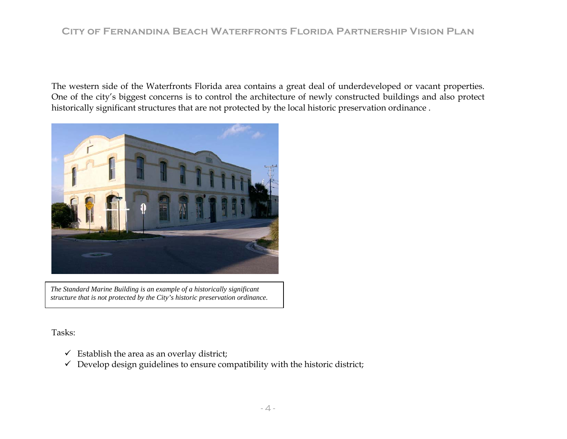The western side of the Waterfronts Florida area contains a great deal of underdeveloped or vacant properties. One of the city's biggest concerns is to control the architecture of newly constructed buildings and also protect historically significant structures that are not protected by the local historic preservation ordinance .



*The Standard Marine Building is an example of a historically significant structure that is not protected by the City's historic preservation ordinance.* 

Tasks:

- $\checkmark$  Establish the area as an overlay district;
- $\checkmark$  Develop design guidelines to ensure compatibility with the historic district;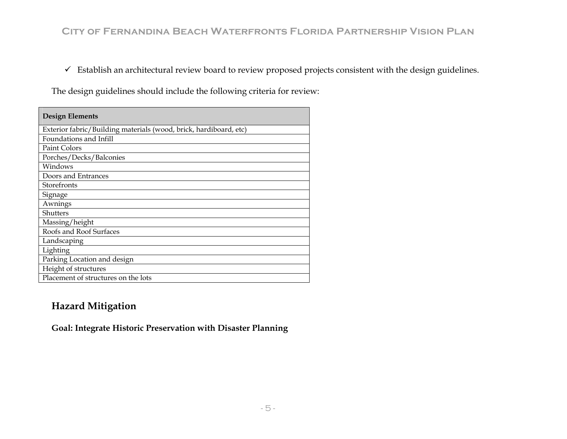$\checkmark$  Establish an architectural review board to review proposed projects consistent with the design guidelines.

The design guidelines should include the following criteria for review:

| <b>Design Elements</b>                                            |
|-------------------------------------------------------------------|
| Exterior fabric/Building materials (wood, brick, hardiboard, etc) |
| Foundations and Infill                                            |
| Paint Colors                                                      |
| Porches/Decks/Balconies                                           |
| Windows                                                           |
| Doors and Entrances                                               |
| Storefronts                                                       |
| Signage                                                           |
| Awnings                                                           |
| <b>Shutters</b>                                                   |
| Massing/height                                                    |
| Roofs and Roof Surfaces                                           |
| Landscaping                                                       |
| Lighting                                                          |
| Parking Location and design                                       |
| Height of structures                                              |
| Placement of structures on the lots                               |

### **Hazard Mitigation**

**Goal: Integrate Historic Preservation with Disaster Planning**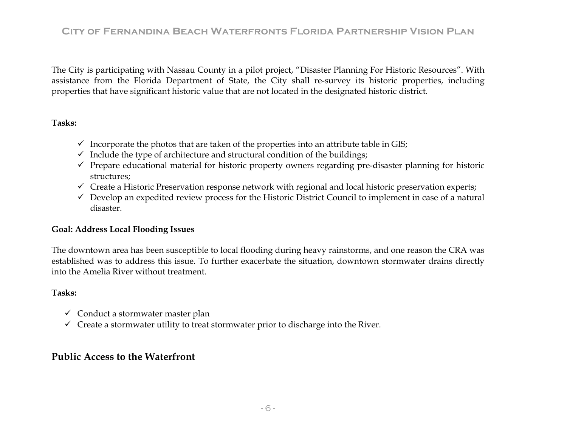The City is participating with Nassau County in a pilot project, "Disaster Planning For Historic Resources". With assistance from the Florida Department of State, the City shall re-survey its historic properties, including properties that have significant historic value that are not located in the designated historic district.

### **Tasks:**

- $\checkmark$  Incorporate the photos that are taken of the properties into an attribute table in GIS;
- $\checkmark$  Include the type of architecture and structural condition of the buildings;
- $\checkmark$  Prepare educational material for historic property owners regarding pre-disaster planning for historic structures;
- $\checkmark$  Create a Historic Preservation response network with regional and local historic preservation experts;
- $\checkmark$  Develop an expedited review process for the Historic District Council to implement in case of a natural disaster.

### **Goal: Address Local Flooding Issues**

The downtown area has been susceptible to local flooding during heavy rainstorms, and one reason the CRA was established was to address this issue. To further exacerbate the situation, downtown stormwater drains directly into the Amelia River without treatment.

### **Tasks:**

- $\checkmark$  Conduct a stormwater master plan
- $\checkmark$  Create a stormwater utility to treat stormwater prior to discharge into the River.

### **Public Access to the Waterfront**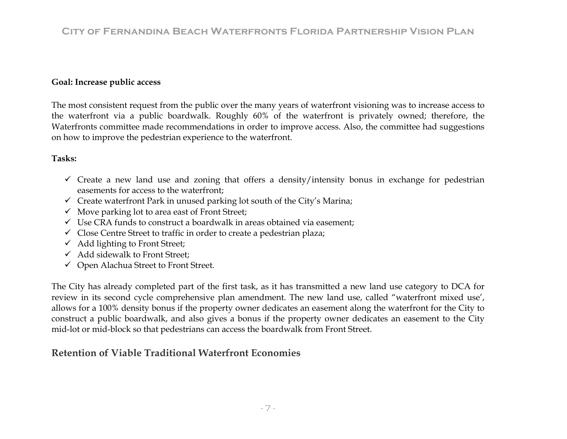### **Goal: Increase public access**

The most consistent request from the public over the many years of waterfront visioning was to increase access to the waterfront via a public boardwalk. Roughly 60% of the waterfront is privately owned; therefore, the Waterfronts committee made recommendations in order to improve access. Also, the committee had suggestions on how to improve the pedestrian experience to the waterfront.

### **Tasks:**

- $\checkmark$  Create a new land use and zoning that offers a density/intensity bonus in exchange for pedestrian easements for access to the waterfront;
- $\checkmark$  Create waterfront Park in unused parking lot south of the City's Marina;
- $\checkmark$  Move parking lot to area east of Front Street;
- $\checkmark$  Use CRA funds to construct a boardwalk in areas obtained via easement;
- $\checkmark$  Close Centre Street to traffic in order to create a pedestrian plaza;
- $\checkmark$  Add lighting to Front Street;
- $\checkmark$  Add sidewalk to Front Street;
- $\checkmark$  Open Alachua Street to Front Street.

The City has already completed part of the first task, as it has transmitted a new land use category to DCA for review in its second cycle comprehensive plan amendment. The new land use, called "waterfront mixed use', allows for a 100% density bonus if the property owner dedicates an easement along the waterfront for the City to construct a public boardwalk, and also gives a bonus if the property owner dedicates an easement to the City mid-lot or mid-block so that pedestrians can access the boardwalk from Front Street.

### **Retention of Viable Traditional Waterfront Economies**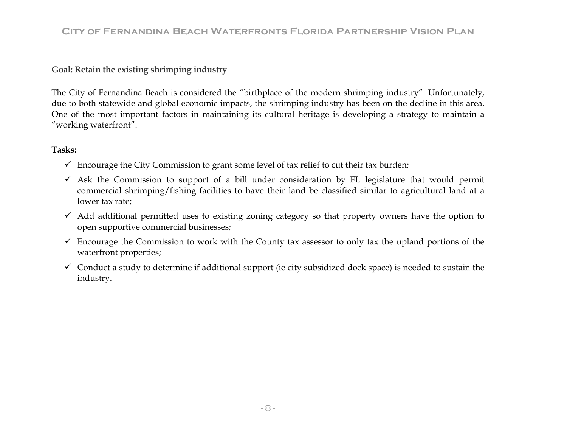### **Goal: Retain the existing shrimping industry**

The City of Fernandina Beach is considered the "birthplace of the modern shrimping industry". Unfortunately, due to both statewide and global economic impacts, the shrimping industry has been on the decline in this area. One of the most important factors in maintaining its cultural heritage is developing a strategy to maintain a "working waterfront".

### **Tasks:**

- $\checkmark$  Encourage the City Commission to grant some level of tax relief to cut their tax burden;
- $\checkmark$  Ask the Commission to support of a bill under consideration by FL legislature that would permit commercial shrimping/fishing facilities to have their land be classified similar to agricultural land at a lower tax rate;
- $\checkmark$  Add additional permitted uses to existing zoning category so that property owners have the option to open supportive commercial businesses;
- $\checkmark$  Encourage the Commission to work with the County tax assessor to only tax the upland portions of the waterfront properties;
- $\checkmark$  Conduct a study to determine if additional support (ie city subsidized dock space) is needed to sustain the industry.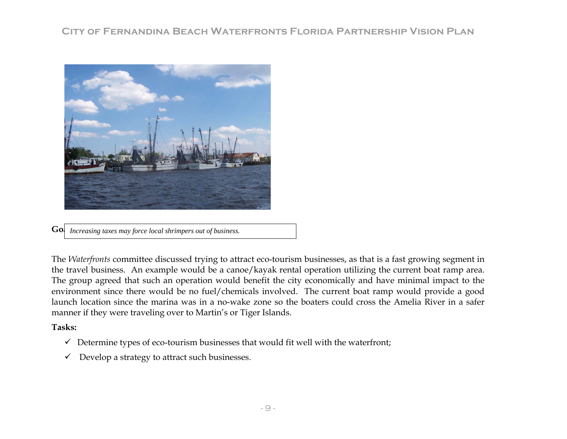

**Go** *Increasing taxes may force local shrimpers out of business.* 

The *Waterfronts* committee discussed trying to attract eco-tourism businesses, as that is a fast growing segment in the travel business. An example would be a canoe/kayak rental operation utilizing the current boat ramp area. The group agreed that such an operation would benefit the city economically and have minimal impact to the environment since there would be no fuel/chemicals involved. The current boat ramp would provide a good launch location since the marina was in a no-wake zone so the boaters could cross the Amelia River in a safer manner if they were traveling over to Martin's or Tiger Islands.

#### **Tasks:**

- $\checkmark$  Determine types of eco-tourism businesses that would fit well with the waterfront;
- $\checkmark$  Develop a strategy to attract such businesses.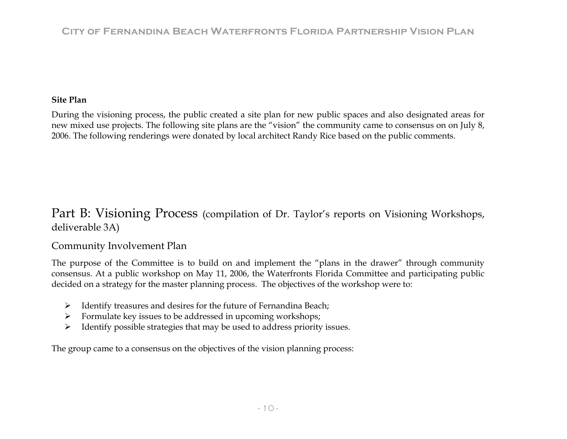### **Site Plan**

During the visioning process, the public created a site plan for new public spaces and also designated areas for new mixed use projects. The following site plans are the "vision" the community came to consensus on on July 8, 2006. The following renderings were donated by local architect Randy Rice based on the public comments.

## Part B: Visioning Process (compilation of Dr. Taylor's reports on Visioning Workshops, deliverable 3A)

### Community Involvement Plan

The purpose of the Committee is to build on and implement the "plans in the drawer" through community consensus. At a public workshop on May 11, 2006, the Waterfronts Florida Committee and participating public decided on a strategy for the master planning process. The objectives of the workshop were to:

- ¾ Identify treasures and desires for the future of Fernandina Beach;
- $\triangleright$  Formulate key issues to be addressed in upcoming workshops;
- $\triangleright$  Identify possible strategies that may be used to address priority issues.

The group came to a consensus on the objectives of the vision planning process: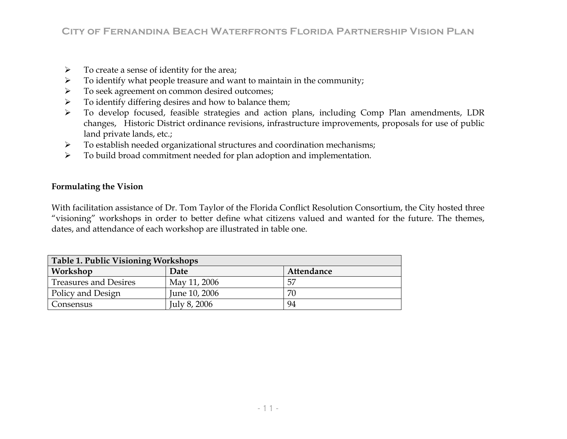- $\blacktriangleright$ To create a sense of identity for the area;
- $\blacktriangleright$ To identify what people treasure and want to maintain in the community;
- $\blacktriangleright$ To seek agreement on common desired outcomes;
- $\blacktriangleright$ To identify differing desires and how to balance them;
- $\blacktriangleright$  To develop focused, feasible strategies and action plans, including Comp Plan amendments, LDR changes, Historic District ordinance revisions, infrastructure improvements, proposals for use of public land private lands, etc.;
- $\blacktriangleright$ To establish needed organizational structures and coordination mechanisms;
- $\blacktriangleright$ To build broad commitment needed for plan adoption and implementation.

### **Formulating the Vision**

With facilitation assistance of Dr. Tom Taylor of the Florida Conflict Resolution Consortium, the City hosted three "visioning" workshops in order to better define what citizens valued and wanted for the future. The themes, dates, and attendance of each workshop are illustrated in table one.

| <b>Table 1. Public Visioning Workshops</b> |               |            |  |  |  |  |
|--------------------------------------------|---------------|------------|--|--|--|--|
| Workshop                                   | Date          | Attendance |  |  |  |  |
| <b>Treasures and Desires</b>               | May 11, 2006  | 57         |  |  |  |  |
| Policy and Design                          | June 10, 2006 | 70         |  |  |  |  |
| Consensus                                  | July 8, 2006  | 94         |  |  |  |  |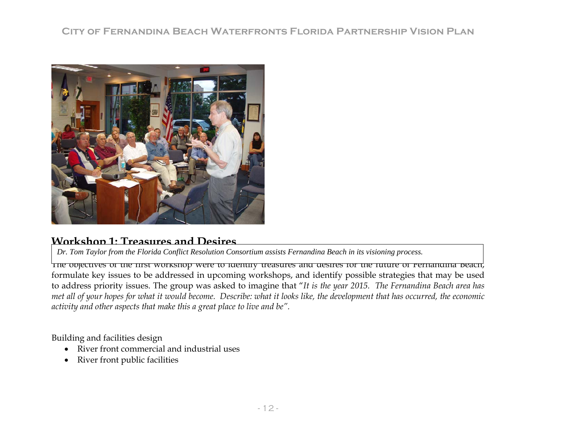

### **Workshop 1: Treasures and Desires**

*Dr. Tom Taylor from the Florida Conflict Resolution Consortium assists Fernandina Beach in its visioning process.* 

The objectives of the first workshop were to identify treasures and desires for the future of Fernandina Beach, formulate key issues to be addressed in upcoming workshops, and identify possible strategies that may be used to address priority issues. The group was asked to imagine that "*It is the year 2015. The Fernandina Beach area has met all of your hopes for what it would become. Describe: what it looks like, the development that has occurred, the economic activity and other aspects that make this a great place to live and be".* 

Building and facilities design

- River front commercial and industrial uses
- River front public facilities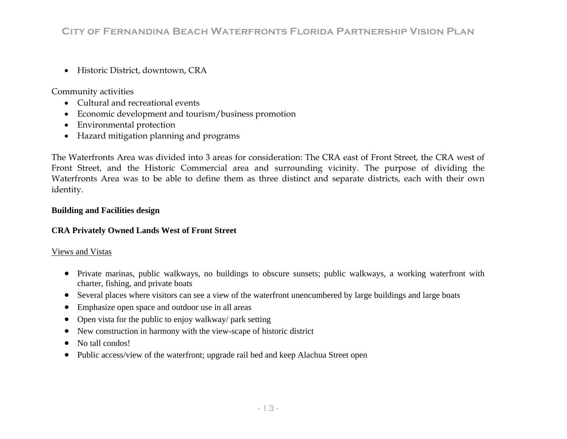• Historic District, downtown, CRA

Community activities

- Cultural and recreational events
- Economic development and tourism/business promotion
- Environmental protection
- Hazard mitigation planning and programs

The Waterfronts Area was divided into 3 areas for consideration: The CRA east of Front Street, the CRA west of Front Street, and the Historic Commercial area and surrounding vicinity. The purpose of dividing the Waterfronts Area was to be able to define them as three distinct and separate districts, each with their own identity.

### **Building and Facilities design**

### **CRA Privately Owned Lands West of Front Street**

### Views and Vistas

- Private marinas, public walkways, no buildings to obscure sunsets; public walkways, a working waterfront with charter, fishing, and private boats
- Several places where visitors can see a view of the waterfront unencumbered by large buildings and large boats
- $\bullet$ Emphasize open space and outdoor use in all areas
- $\bullet$ Open vista for the public to enjoy walkway/ park setting
- •New construction in harmony with the view-scape of historic district
- $\bullet$ No tall condos!
- $\bullet$ Public access/view of the waterfront; upgrade rail bed and keep Alachua Street open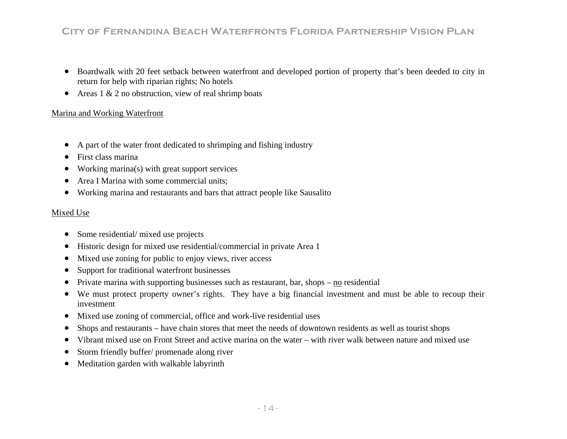- $\bullet$  Boardwalk with 20 feet setback between waterfront a nd developed portion of property that's been deeded to city in return for help with riparian rights; No hotels
- Areas  $1 \& 2$  no obstruction, view of real shrimp boats  $\bullet$

#### <u>Marina and Working Waterfront</u>

- A part of the water front dedicated to shrimping and fishing industry  $\bullet$
- $\bullet$ First class marina
- •Working marina(s) with great support services
- •Area I Marina with some commercial units;
- Working marina and restaurants and bars that attract people like Sausalito

#### Mixed Use

- $\bullet$ Some residential/ mixed use projects
- $\bullet$ Historic design for mixed use residential/commercial in private Area 1
- •Mixed use zoning for public to enjoy views, river access
- •Support for traditional waterfront businesses
- Private marina with supporting businesses such as restaurant, bar, shops  $-\underline{no}$  residential  $\bullet$
- We must protect property owner's rights. They have a big financial investment and must be able to recoup their  $\bullet$ investment
- Mixed use zoning of commercial, office and work-live residential uses  $\bullet$
- Shops and restaurants have chain stores that meet the needs of downtown residents as well as tourist shops  $\bullet$
- Vibrant mixed use on Front Street and active marina on the water with river walk between nature and mixed use  $\bullet$
- •Storm friendly buffer/ promenade along river
- Meditation garden with walkable labyrinth  $\bullet$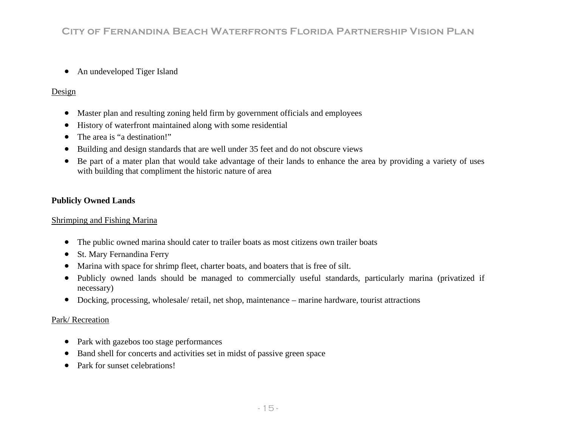$\bullet$ An undeveloped Tiger Island

### Design

- $\bullet$ Master plan and resulting zoning held firm by government officials and employees
- •History of waterfront maintained along with some residential
- •The area is "a destination!"
- •Building and design standards that are well under 35 feet and do not obscure views
- Be part of a mater plan that would take advantage of their lands to enhance the area by providing a variety of uses with building that compliment the historic nature of area  $\bullet$

### **Pu blicly Owned Lands**

#### <u>Shrimping and Fishing Marina</u>

- The public owned marina should cater to trailer boats as most citizens own trailer boats  $\bullet$
- •St. Mary Fernandina Ferry
- •Marina with space for shrimp fleet, charter boats, and boaters that is free of silt.
- Publicly owned lands should be managed to commercially useful standards, particularly marina (privatized if necessary)  $\bullet$
- Docking, processing, wholesale/ retail, net shop, maintenance marine hardware, tourist attractions

### <u>Park/Recreation</u>

- $\bullet$ Park with gazebos too stage performances
- Band shell for concerts and activities set in midst of passive green space •
- $\bullet$ Park for sunset celebrations!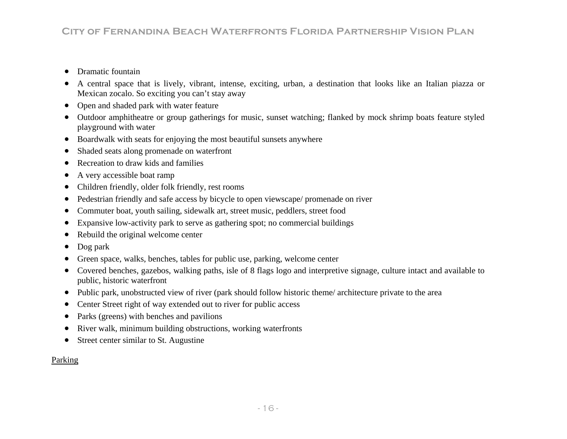- •Dramatic fountain
- $\bullet$  A central space that is lively, vibrant, intense, exciting, urban, a destination that looks like an Italian piazza or Mexican zocalo. So exciting you can't stay away
- $\bullet$ Open and shaded park with water feature
- Outdoor amphitheatre or group gatherings for music, sunset watching; flanked by mock shrimp boats feature styled playground with water
- Boardwalk with seats for enjoying the most beautiful sunsets anywhere
- $\bullet$ Shaded seats along promenade on waterfront
- $\bullet$ Recreation to draw kids and families
- •A very accessible boat ramp
- •Children friendly, older folk friendly, rest rooms
- Pedestrian friendly and safe access by bicycle to open viewscape/ promenade on river  $\bullet$
- Commuter boat, youth sailing, sidewalk art, street music, peddlers, street food  $\bullet$
- $\bullet$ Expansive low-activity park to serve as gathering spot; no commercial buildings
- $\bullet$ Rebuild the original welcome center
- •Dog park
- Green space, walks, benches, tables for public use, parking, welcome center •
- Covered benches, gazebos, walking paths, isle of 8 flags logo and interpretive signage, culture intact and available to  $\bullet$ public, historic waterfront
- Public park, unobstructed view of river (park should follow historic theme/ architecture private to the area  $\bullet$
- Center Street right of way extended out to river for public access •
- Parks (greens) with benches and pavilions  $\bullet$
- $\bullet$ River walk, minimum building obstructions, working waterfronts
- Street center similar to St. Augustine  $\bullet$

### <u>Parking</u>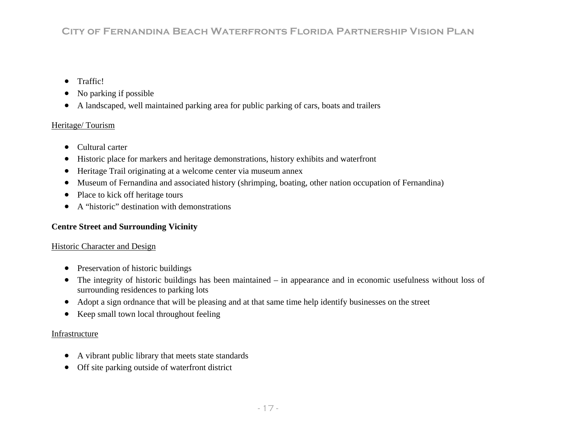- Traffic!
- $\bullet$ No parking if possible
- $\bullet$ A landscaped, well maintained parking area for public parking of cars, boats and trailers

### Heritage/ Tourism

- Cultural carter
- $\bullet$ Historic place for markers and heritage demonstrations, history exhibits and waterfront
- Heritage Trail originating at a welcome center via museum annex  $\bullet$
- Museum of Fernandina and associated history (shrimping, boating, other nation occupation of Fernandina)  $\bullet$
- Place to kick off heritage tours  $\bullet$
- A "historic" destination with demonstrations  $\bullet$

### **Ce <sup>e</sup> ntr Street and Surrounding Vicinity**

### <u>Historic Character and Design</u>

- Preservation of historic buildings
- The integrity of historic buildings has been maintained in appearance and in economic usefulness without loss of  $\bullet$ surrounding residences to parking lots
- Adopt a sign ordnance that will be pleasing and at that same time help identify businesses on the street
- $\bullet$ Keep small town local throughout feeling

### <u>Infrastructure</u>

- $\bullet$ A vibrant public library that meets state standards
- $\bullet$ Off site parking outside of waterfront district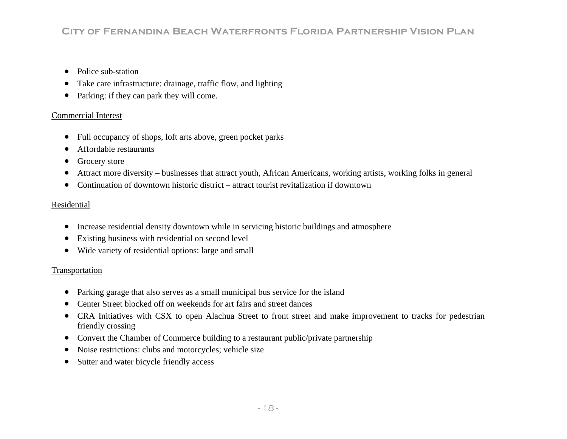- $\bullet$ Police sub-station
- •Take care infrastructure: drainage, traffic flow, and lighting
- $\bullet$ Parking: if they can park they will come.

#### Commercial Interest

- $\bullet$ • Full occupancy of shops, loft arts above, green pocket parks
- Affordable restaurants •
- •Grocery store
- Attract more diversity businesses that attract youth, African Americans, working artists, working folks in general •
- Continuation of downtown historic district attract tourist revitalization if downtown  $\bullet$

#### Residential

- $\bullet$ Increase residential density downtown while in servicing historic buildings and atmosphere
- Existing business with residential on second level
- Wide variety of residential options: large and small

### <u>Transportation</u>

- Parking garage that also serves as a small municipal bus service for the island  $\bullet$
- Center Street blocked off on weekends for art fairs and street dances •
- CRA Initiatives with CSX to open Alachua Street to front street and make improvement to tracks for pedestrian friendly crossing
- Convert the Chamber of Commerce building to a restaurant public/private partnership
- $\bullet$ Noise restrictions: clubs and motorcycles; vehicle size
- $\bullet$ Sutter and water bicycle friendly access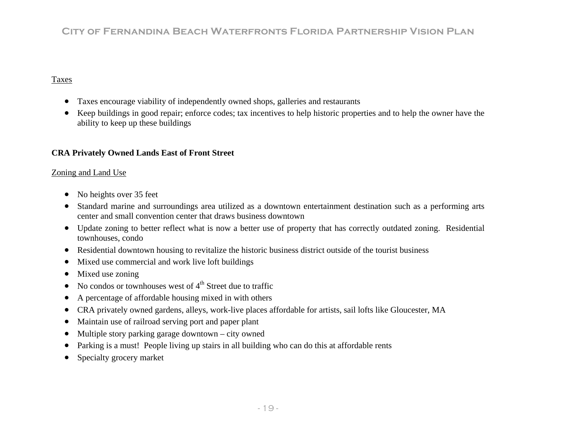### Taxes

- Taxes encourage viability of independently owned shops, galleries and restaurants  $\bullet$
- Keep buildings in good repair; enforce codes; tax incentives to help historic properties and to help the owner have the ability to keep up these buildings  $\bullet$

### **CRA P rivately Owned Lands East of Front Street**

#### <u>Zoning and Land Use</u>

- $\bullet$ No heights over 35 feet
- Standard marine and surroundings area utilized as a downtown entertainment destination such as a performing arts center and small convention center that draws business downtown  $\bullet$
- Update zoning to better reflect what is now a better use of property that has correctly outdated zoning. Residential townhouses, condo
- Residential downtown housing to revitalize the historic business district outside of the tourist business
- $\bullet$ Mixed use commercial and work live loft buildings
- $\bullet$ Mixed use zoning
- $\bullet$ No condos or townhouses west of  $4<sup>th</sup>$  Street due to traffic
- $\bullet$ A percentage of affordable housing mixed in with others
- CRA privately owned gardens, alleys, work-live places affordable for artists, sail lofts like Gloucester, MA  $\bullet$
- •Maintain use of railroad serving port and paper plant
- Multiple story parking garage downtown  $-$  city owned  $\bullet$
- Parking is a must! People living up stairs in all building who can do this at affordable rents  $\bullet$
- Specialty grocery market  $\bullet$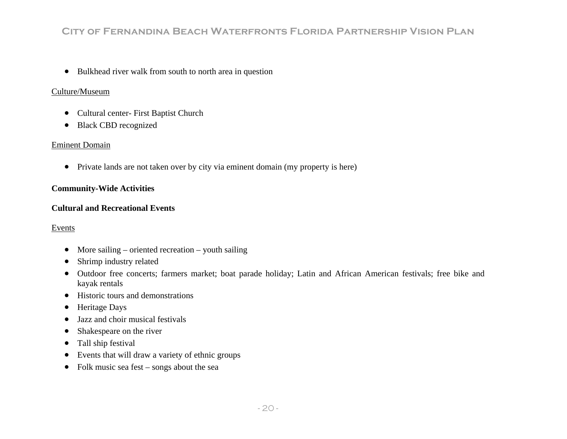• Bulkhead river walk from south to north area in question

### Culture/Museum

- Cultural center- First Baptist Church
- Black CBD recognized

### Eminent Domain

• Private lands are not taken over by city via eminent domain (my property is here)

### **Comm unity-Wide Activities**

### **Cultural and Recreational Events**

### Events

- More sailing oriented recreation youth sailing
- Shrimp industry related
- Outdoor free concerts; farmers market; boat parade holiday; Latin and African American festivals; free bike and kayak rentals
- Historic tours and demonstrations
- Heritage Days
- Jazz and choir musical festivals
- Shakespeare on the river
- Tall ship festival
- $\bullet$  Events that will draw a variety of ethnic groups
- Folk music sea fest songs about the sea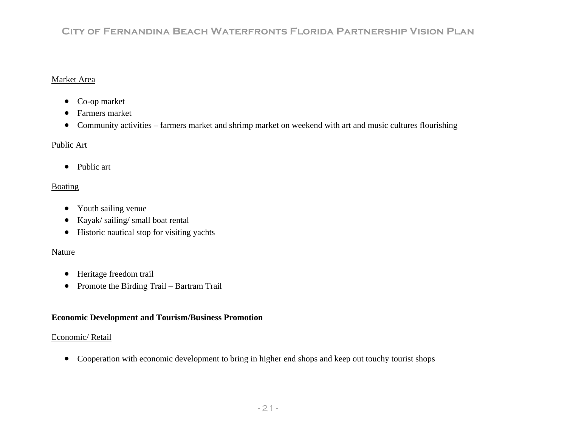#### Market Area

- Co-op market
- $\bullet$ Farmers market
- Community activities farmers market and shrimp market on weekend with art and music cultures flourishing

#### <u>Public Art</u>

• Public art

### Boating

- Youth sailing venue
- Kayak/ sailing/ small boat rental
- Historic nautical stop for visiting yachts

#### Nature

- Heritage freedom trail
- Promote the Birding Trail Bartram Trail

### **Economic Development and Tourism/Business Promotion**

#### <u>Economic/ Retail</u>

• Cooperation with economic development to bring in higher end shops and keep out touchy tourist shops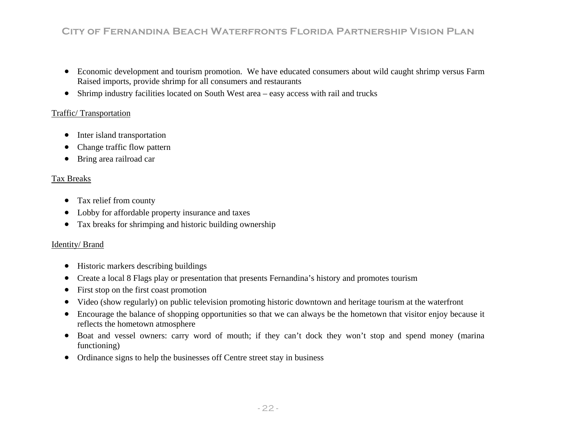- $\bullet$  Economic development and tourism promotion. We have educated consumers about wild caught shrimp versus Farm Raised imports, provide shrimp for all consumers and restaurants
- Shrimp industry facilities located on South West area easy access with rail and trucks

### Traffic/Transportation

- $\bullet$ Inter island transportation
- •Change traffic flow pattern
- $\bullet$ Bring area railroad car

#### Tax Br eaks

- Tax relief from county
- $\bullet$ Lobby for affordable property insurance and taxes
- Tax breaks for shrimping and historic building ownership  $\bullet$

### <u>Identity/Brand</u>

- $\bullet$ Historic markers describing buildings
- Create a local 8 Flags play or presentation that presents Fernandina's history and promotes tourism •
- $\bullet$ First stop on the first coast promotion
- Video (show regularly) on public television promoting historic downtown and heritage tourism at the waterfront  $\bullet$
- Encourage the balance of shopping opportunities so that we can always be the hometown that visitor enjoy because it  $\bullet$ reflects the hometown atmosphere
- Boat and vessel owners: carry word of mouth; if they can't dock they won't stop and spend money (marina functioning)
- Ordinance signs to help the businesses off Centre street stay in business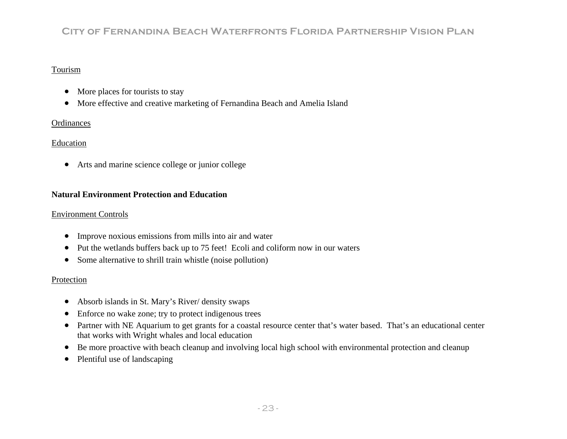### Tourism

- $\bullet$ More places for tourists to stay
- More effective and creative marketing of Fernandina Beach and Amelia Island  $\bullet$

### **Ordinances**

### Education

 $\bullet$ Arts and marine science college or junior college

### **Natural Environment Protection and Education**

#### Environment Controls

- $\bullet$ Improve noxious emissions from mills into air and water
- $\bullet$ Put the wetlands buffers back up to 75 feet! Ecoli and coliform now in our waters
- $\bullet$ Some alternative to shrill train whistle (noise pollution)

### Protection

- Absorb islands in St. Mary's River/ density swaps
- $\bullet$ Enforce no wake zone; try to protect indigenous trees
- Partner with NE Aquarium to get grants for a coastal resource center that's water based. That's an educational center  $\bullet$ that works with Wright whales and local education
- $\bullet$  Be more proactive with beach cleanup and involving local high school with environmental protection and cleanup  $\bullet$
- $\bullet$ Plentiful use of landscaping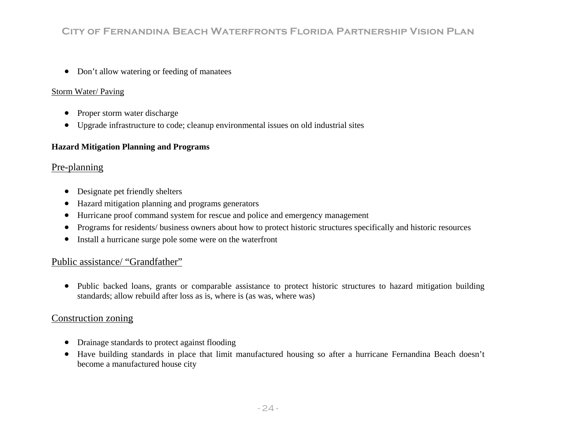• Don't allow watering or feeding of manatees

### Storm Water/ Paving

- $\bullet$ Proper storm water discharge
- $\bullet$ Upgrade infrastructure to code; cleanup environmental issues on old industrial sites

### **rd Mitigation Planning and Programs Haza**

### <u>Pre-planning</u>

- Designate pet friendly shelters
- $\bullet$ Hazard mitigation planning and programs generators
- Hurricane proof command system for rescue and police and emergency management  $\bullet$
- •• Programs for residents/ business owners about how to protect historic structures specifically and historic resources
- Install a hurricane surge pole some were on the waterfront  $\bullet$

### Public assistance/ "Grandfather"

• Public backed loans, grants or comparable assistance to protect historic structures to hazard mitigation building standards; allow rebuild after loss as is, where is (as was, where was)

### Construction zoning

- Drainage standards to protect against flooding
- Have building standards in place that limit manufactured housing so after a hurricane Fernandina Beach doesn't become a manufactured house city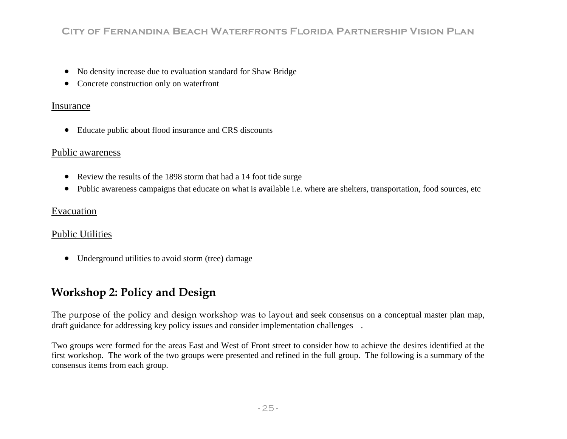- $\bullet$ No density increase due to evaluation standard for Shaw Bridge
- $\bullet$ Concrete construction only on waterfront

### Insurance

• Educate public about flood insurance and CRS discounts

### Public awareness

- $\bullet$ Review the results of the 1898 storm that had a 14 foot tide surge
- $\bullet$ Public awareness campaigns that educate on what is available i.e. where are shelters, transportation, food sources, etc

### Evacuation

### Public Utilities

• Underground utilities to avoid storm (tree) damage

# **W orkshop 2: Policy and Design**

The purpose of the policy and design workshop was to layout and seek consensus on a conceptual master plan map, draft guidance for addressing key policy issues and consider implementation challenges.

Two groups were formed for the areas East and West of Front street to consider how to achieve the desires identified at the first workshop. The work of the two groups were presented and refined in the full group. The following is a summary of the consensus items from each group.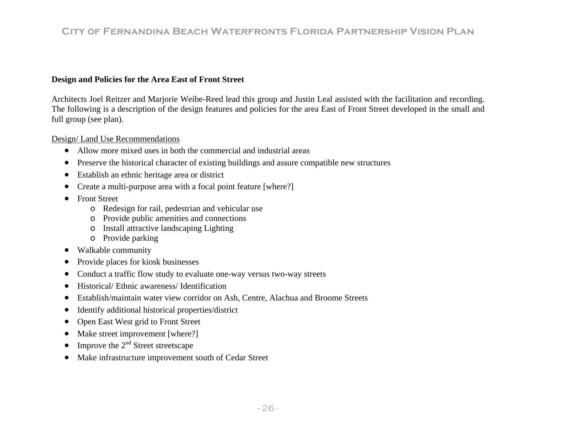#### **Design and Policies for the Area East of Front Street**

Architects Joel Reitzer and Marjorie Weibe-Reed lead this group and Justin Leal assisted with the facilitation and recording. The following is a description of the design features and policies for the area East of Front Street developed in the small and full group (see plan).

#### <u>Design/Land Use Recommendations</u>

- Allow more mixed uses in both the commercial and industrial areas
- Preserve the historical character of existing buildings and assure compatible new structures  $\bullet$
- $\bullet$ Establish an ethnic heritage area or district
- Create a multi-purpose area with a focal point feature [where?]  $\bullet$
- $\bullet$  Front Street
	- Redesign for rail, pedestrian and vehicular use o
	- $\circ$  Provide public amenities and connections
	- o Install attractive landscaping Lighting
	- o Provide parking
- Walkable community
- Provide places for kiosk businesses
- Conduct a traffic flow study to evaluate one-way versus two-way streets  $\bullet$
- $\bullet$  Historical/ Ethnic awareness/ Identification  $\bullet$
- Establish/maintain water view corridor on Ash, Centre, Alachua and Broome Streets  $\bullet$
- $\bullet$ Identify additional historical properties/district
- Open East West grid to Front Street  $\bullet$
- $\bullet$ Make street improvement [where?]
- $\bullet$ Improve the  $2<sup>nd</sup>$  Street streetscape
- $\bullet$ Make infrastructure improvement south of Cedar Street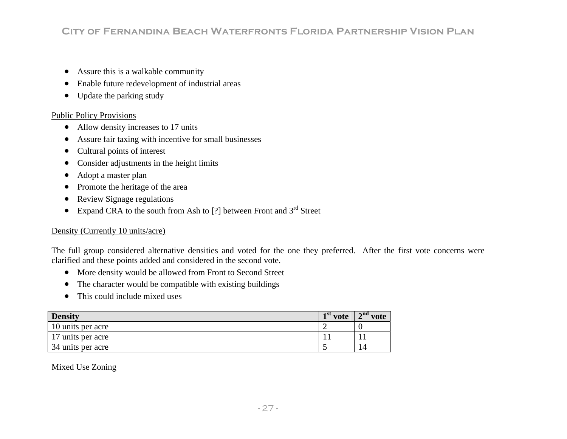- $\bullet$ Assure this is a walkable community
- $\bullet$ Enable future redevelopment of industrial areas
- $\bullet$ Update the parking study

#### Public Policy Provisions

- Allow density increases to 17 units
- Assure fair taxing with incentive for small businesses  $\bullet$
- $\bullet$  Cultural points of interest  $\bullet$
- Consider adjustments in the height limits  $\bullet$
- $\bullet$ Adopt a master plan
- $\bullet$ Promote the heritage of the area
- $\bullet$ Review Signage regulations
- Expand CRA to the south from Ash to [?] between Front and  $3<sup>rd</sup>$  Street  $\bullet$

### Density (Currently 10 units/acre)

The full group considered alternative densities and voted for the one they preferred. After the first vote concerns were clarified and these points added and considered in the second vote.

- More density would be allowed from Front to Second Street
- The character would be compatible with existing buildings  $\bullet$
- •This could include mixed uses

| <b>Density</b>    | vote | $\mathbf{A}^{\text{nd}}$ vote |
|-------------------|------|-------------------------------|
| 10 units per acre |      |                               |
| 17 units per acre |      |                               |
| 34 units per acre |      | 14                            |

#### Mixed Use Zoning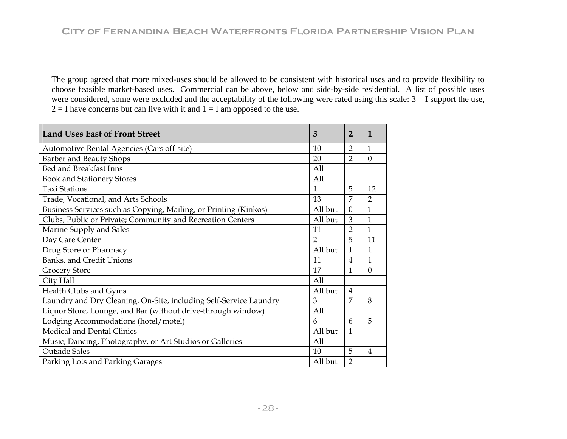The group agreed that more mixed-uses should be allowed to be consistent with historical uses and to provide flexibility to choose feasible market-based uses. Commercial can be above, below and side-by-side residential. A list of possible uses were considered, some were excluded and the acceptability of the following were rated using this scale:  $3 = I$  support the use,  $2 = I$  have concerns but can live with it and  $1 = I$  am opposed to the use.

| <b>Land Uses East of Front Street</b>                             | 3              | 2              | 1              |
|-------------------------------------------------------------------|----------------|----------------|----------------|
| Automotive Rental Agencies (Cars off-site)                        | 10             | $\overline{2}$ | 1              |
| Barber and Beauty Shops                                           | 20             | $\overline{2}$ | $\theta$       |
| Bed and Breakfast Inns                                            | All            |                |                |
| <b>Book and Stationery Stores</b>                                 | All            |                |                |
| <b>Taxi Stations</b>                                              | 1              | 5              | 12             |
| Trade, Vocational, and Arts Schools                               | 13             | 7              | $\overline{2}$ |
| Business Services such as Copying, Mailing, or Printing (Kinkos)  | All but        | $\Omega$       | 1              |
| Clubs, Public or Private; Community and Recreation Centers        | All but        | 3              | $\overline{1}$ |
| Marine Supply and Sales                                           | 11             | $\overline{2}$ | $\mathbf{1}$   |
| Day Care Center                                                   | $\overline{2}$ | 5              | 11             |
| Drug Store or Pharmacy                                            | All but        | 1              | 1              |
| Banks, and Credit Unions                                          | 11             | $\overline{4}$ | 1              |
| <b>Grocery Store</b>                                              | 17             | 1              | $\overline{0}$ |
| City Hall                                                         | A11            |                |                |
| Health Clubs and Gyms                                             | All but        | 4              |                |
| Laundry and Dry Cleaning, On-Site, including Self-Service Laundry | 3              | 7              | 8              |
| Liquor Store, Lounge, and Bar (without drive-through window)      | All            |                |                |
| Lodging Accommodations (hotel/motel)                              | 6              | 6              | 5              |
| <b>Medical and Dental Clinics</b>                                 | All but        | 1              |                |
| Music, Dancing, Photography, or Art Studios or Galleries          | All            |                |                |
| <b>Outside Sales</b>                                              | 10             | 5              | $\overline{4}$ |
| Parking Lots and Parking Garages                                  | All but        | $\overline{2}$ |                |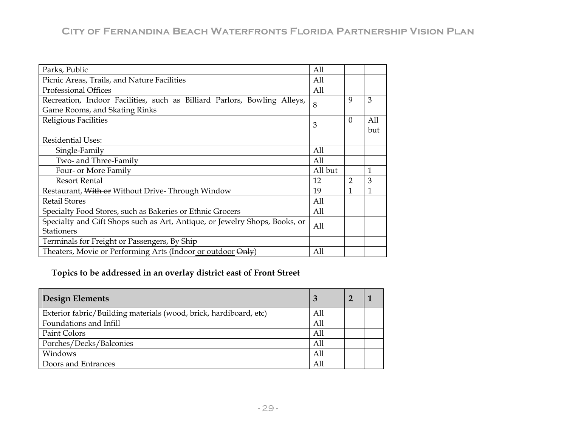| Parks, Public                                                              | All     |               |     |
|----------------------------------------------------------------------------|---------|---------------|-----|
| Picnic Areas, Trails, and Nature Facilities                                | All     |               |     |
| <b>Professional Offices</b>                                                | All     |               |     |
| Recreation, Indoor Facilities, such as Billiard Parlors, Bowling Alleys,   | 8       | 9             | 3   |
| Game Rooms, and Skating Rinks                                              |         |               |     |
| Religious Facilities                                                       | 3       | $\Omega$      | All |
|                                                                            |         |               | but |
| <b>Residential Uses:</b>                                                   |         |               |     |
| Single-Family                                                              | All     |               |     |
| Two- and Three-Family                                                      | All     |               |     |
| Four- or More Family                                                       | All but |               | 1   |
| <b>Resort Rental</b>                                                       | 12      | $\mathcal{P}$ | 3   |
| Restaurant, With or Without Drive-Through Window                           | 19      | 1             | 1   |
| <b>Retail Stores</b>                                                       | All     |               |     |
| Specialty Food Stores, such as Bakeries or Ethnic Grocers                  | All     |               |     |
| Specialty and Gift Shops such as Art, Antique, or Jewelry Shops, Books, or |         |               |     |
| <b>Stationers</b>                                                          | All     |               |     |
| Terminals for Freight or Passengers, By Ship                               |         |               |     |
| Theaters, Movie or Performing Arts (Indoor or outdoor Only)                | All     |               |     |

### **Topics to be ad dressed in an overlay district east of Front Street**

| <b>Design Elements</b>                                            |     |  |
|-------------------------------------------------------------------|-----|--|
| Exterior fabric/Building materials (wood, brick, hardiboard, etc) | All |  |
| Foundations and Infill                                            | All |  |
| Paint Colors                                                      | All |  |
| Porches/Decks/Balconies                                           | All |  |
| Windows                                                           | All |  |
| Doors and Entrances                                               | All |  |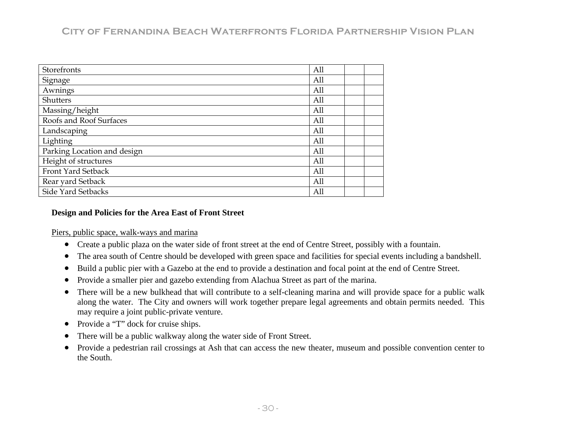| Storefronts                 | All |  |
|-----------------------------|-----|--|
| Signage                     | All |  |
| Awnings                     | All |  |
| Shutters                    | All |  |
| Massing/height              | All |  |
| Roofs and Roof Surfaces     | All |  |
| Landscaping                 | All |  |
| Lighting                    | All |  |
| Parking Location and design | All |  |
| Height of structures        | All |  |
| Front Yard Setback          | All |  |
| Rear yard Setback           | All |  |
| Side Yard Setbacks          | All |  |

#### **De <sup>n</sup> sig and Policies for the Area East of Front Street**

Piers, public space, walk-ways and marina

- Create a public plaza on the water side of front street at the end of Centre Street, possibly with a fountain.
- $\bullet$  The area south of Centre should be developed with green space and facilities for special events including a bandshell.  $\bullet$
- $\bullet$ Build a public pier with a Gazebo at the end to provide a destination and focal point at the end of Centre Street.
- $\bullet$ • Provide a smaller pier and gazebo extending from Alachua Street as part of the marina.
- There will be a new bulkhead that will contribute to a self-cleaning marina and will provide space for a public walk along the water. The City and owners will work together prepare legal agreements and obtain permits needed. This may require a joint public-private venture.  $\bullet$
- $\bullet$ Provide a "T" dock for cruise ships.
- •There will be a public walkway along the water side of Front Street.
- Provide a pedestrian rail crossings at Ash that can access the new theater, museum and possible convention center to  $\bullet$ the South.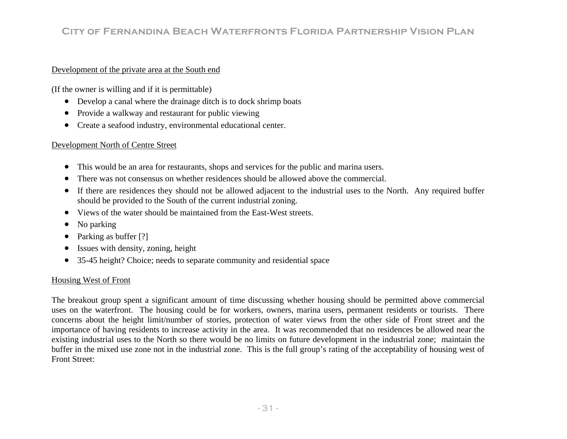#### Development of the private area at the South end

(If the owner is willing and if it is permittable)

- $\bullet$ Develop a canal where the drainage ditch is to dock shrimp boats
- $\bullet$ Provide a walkway and restaurant for public viewing
- $\bullet$ Create a seafood industry, environmental educational center.

#### Development North of Centre Street

- $\bullet$ • This would be an area for restaurants, shops and services for the public and marina users.
- $\bullet$  There was not consensus on whether residences should be allowed above the commercial.  $\bullet$
- If there are residences they should not be allowed adjacent to the industrial uses to the North. Any required buffer should be provided to the South of the current industrial zoning.
- Views of the water should be maintained from the East-West streets.  $\bullet$
- •No parking
- •Parking as buffer [?]
- •Issues with density, zoning, height
- $\bullet$ 35-45 height? Choice; needs to separate community and residential space

### Housing West of Front

The breakout group spent a significant amount of time discussing whether housing should be permitted above commercial uses on the waterfront. The housing could be for workers, owners, marina users, permanent residents or tourists. There concerns about the height limit/number of stories, protection of water views from the other side of Front street and the importance of having residents to increase activity in the area. It was recommended that no residences be allowed near the existing industrial uses to the North so there would be no limits on future development in the industrial zone; maintain the buffer in the mixed use zone not in the industrial zone. This is the full group's rating of the acceptability of housing west of Front Street: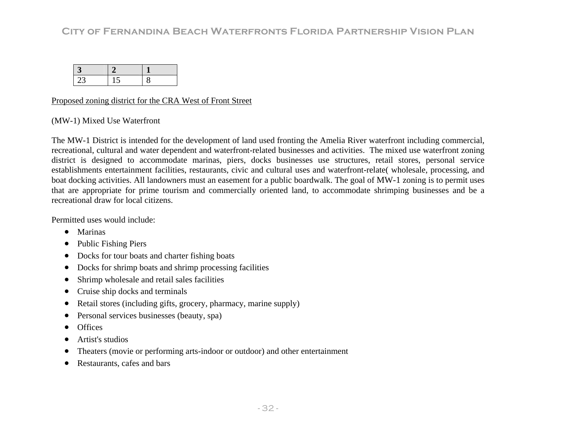| 23 | 15 |  |
|----|----|--|

#### Proposed zoning district for the CRA West of Front Street

#### (MW-1) Mixed Use Waterfront

The MW-1 District is intended for the development of land used fronting the Amelia River waterfront including commercial, recreational, cultural and water dependent and waterfront-related businesses and activities. The mixed use waterfront zoning district is designed to accommodate marinas, piers, docks businesses use structures, retail stores, personal service establishments entertainment facilities, restaurants, civic and cultural uses and waterfront-relate(wholesale, processing, and boat docking activities. All landowners must an easement for a public boardwalk. The goal of MW-1 zoning is to permit uses that are appropriate for prime tourism and commercially oriented land, to accommodate shrimping businesses and be a recreational draw for local citizens.

Permitted uses would include:

- Marinas
- $\bullet$ Public Fishing Piers
- $\bullet$ Docks for tour boats and charter fishing boats
- $\bullet$ Docks for shrimp boats and shrimp processing facilities
- $\bullet$ Shrimp wholesale and retail sales facilities
- $\bullet$ Cruise ship docks and terminals
- Retail stores (including gifts, grocery, pharmacy, marine supply) •
- $\bullet$ Personal services businesses (beauty, spa)
- •**Offices**
- •Artist's studios
- $\bullet$ Theaters (movie or performing arts-indoor or outdoor) and other entertainment
- •Restaurants, cafes and bars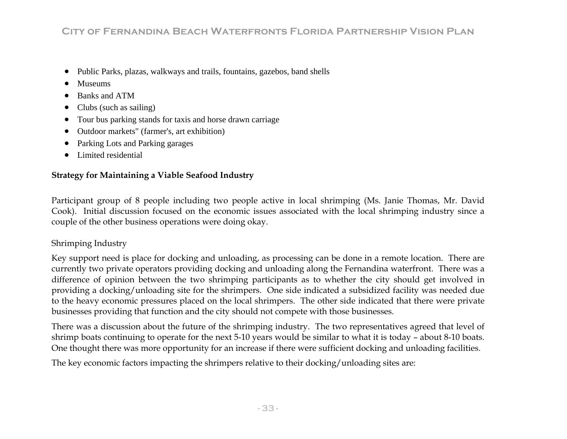- $\bullet$ Public Parks, plazas, walkways and trails, fountains, gazebos, band shells
- •Museums
- •Banks and ATM
- •Clubs (such as sailing)
- •Tour bus parking stands for taxis and horse drawn carriage
- Outdoor markets" (farmer's, art exhibition)  $\bullet$
- Parking Lots and Parking garages •
- Limited residential  $\bullet$

### **Str ategy for Maintaining a Viable Seafood Industry**

Partici pant group of 8 people including two people active in local shrimping (Ms. Janie Thomas, Mr. David Cook). Initial discussion focused on the economic issues associated with the local shrimping industry since a ouple c of the other business operations were doing okay.

### Shrimping Industry

Key support need is place for docking and unloading, as processing can be done in a remote location. There are currently two private operators providing docking and unloading along the Fernandina waterfront. There was a difference of opinion between the two shrimping participants as to whether the city should get involved in providing a docking/unloading site for the shrimpers. One side indicated a subsidized facility was needed due businesses providing that function and the city should not compete with those businesses. to the heavy economic pressures placed on the local shrimpers. The other side indicated that there were private

shrimp boats continuing to operate for the next 5-10 years would be similar to what it is today – about 8-10 boats. One thought there was more opportunity for an increase if there were sufficient docking and unloading facilities. There was a discussion about the future of the shrimping industry. The two representatives agreed that level of

The key economic factors impacting the shrimpers relative to their docking/unloading sites are: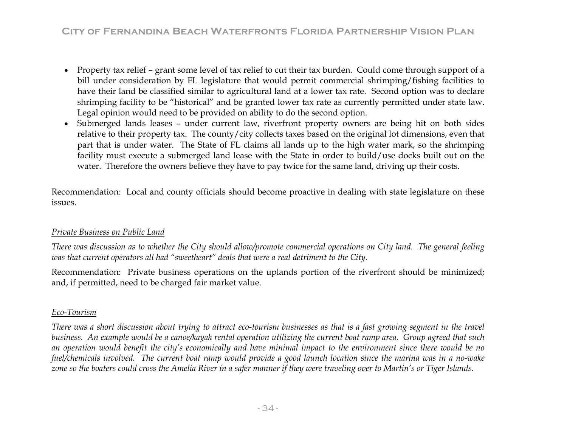- Property tax relief grant some level of tax relief to cut their tax burden. Could come through support of a bill under consideration by FL legislature that would permit commercial shrimping/fishing facilities to have their land be classified similar to agricultural land at a lower tax rate. Second option was to declare shrimping facility to be "historical" and be granted lower tax rate as currently permitted under state law. Legal opinion would need to be provided on ability to do the second option.
- Submerged lands leases under current law, riverfront property owners are being hit on both sides relative to their property tax. The county/city collects taxes based on the original lot dimensions, even that part that is under water. The State of FL claims all lands up to the high water mark, so the shrimping facility must execute a submerged land lease with the State in order to build/use docks built out on the water. Therefore the owners believe they have to pay twice for the same land, driving up their costs.

Recommendation: Local and county officials should become proactive in dealing with state legislature on these issues.

### *Private Business on Public Land*

*There was discussion as to whether the City should allow/promote commercial operations on City land. The general feeling was that current operators all had "sweetheart" deals that were a real detriment to the City.* 

Recommendation: Private business operations on the uplands portion of the riverfront should be minimized; and, if permitted, need to be charged fair market value.

### *Eco-Tourism*

*There was a short discussion about trying to attract eco-tourism businesses as that is a fast growing segment in the travel*  business. An example would be a canoe/kayak rental operation utilizing the current boat ramp area. Group agreed that such *n operation would benefit the city's economically and have minimal impact to the environment since there would be no a fuel/chemicals involved. The current boat ramp would provide a good launch location since the marina was in a no-wake zone so the boaters could cross the Amelia River in a safer manner if they were traveling over to Martin's or Tiger Islands.*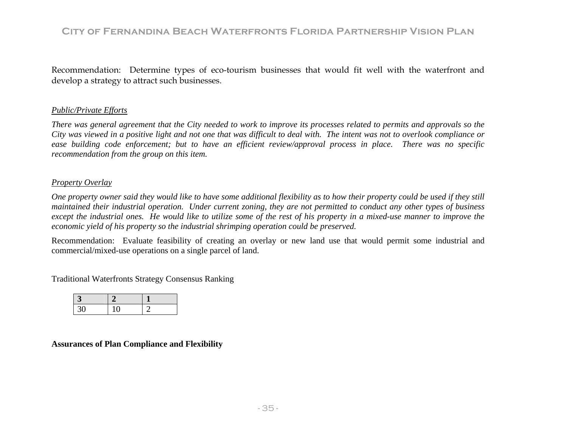R ecommendation: Determine types of eco-tourism businesses that would fit well with the waterfront and d evelop a strategy to attract such businesses.

### *Public/Private Efforts*

ease building code enforcement; but to have an efficient review/approval process in place. There was no specific *tion from the group on this item. recommenda There was general agreement that the City needed to work to improve its processes related to permits and approvals so the City was viewed in a positive light and not one that was difficult to deal with. The intent was not to overlook compliance or* 

#### *Pro <sup>r</sup> pe ty Overlay*

*On <sup>r</sup> l e p operty owner said they would like to have some additional flexibility as to how their property could be used if they stil ma a int ined their industrial operation. Under current zoning, they are not permitted to conduct any other types of business economic yield of his property so the industrial shrimping operation could be preserved. except the industrial ones. He would like to utilize some of the rest of his property in a mixed-use manner to improve the* 

Recommendation: Evaluate feasibility of creating an overlay or new land use that would permit some industrial and commercial/mixed-use operations on a single parcel of land.

Traditional Waterfronts Strategy Consensus Ranking

| L |  |
|---|--|

### **Assurances of Plan Compliance and Flexibility**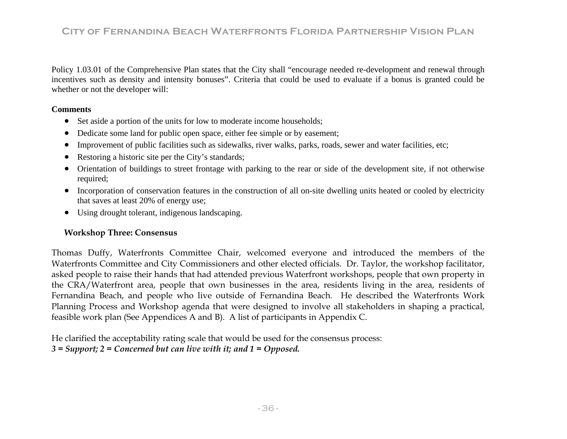Policy 1.03.01 of the Comprehensive Plan states that the City shall "encourage needed re-develo pment and renewal through incentives such as density and intensity bonuses". Criteria that could be used to evaluate if a bonus is granted could be whether or not the developer will:

### **Comments**

- Set aside a portion of the units for low to moderate income households;
- Dedicate some land for public open space, either fee simple or by easement;  $\bullet$
- $\bullet$ Improvement of public facilities such as sidewalks, river walks, parks, roads, sewer and water facilities, etc;
- $\bullet$ Restoring a historic site per the City's standards;
- $\bullet$  Orientation of buildings to street frontage with parking to the rear or side of the development site, if not otherwise required;
- Incorporation of conservation features in the construction of all on-site dwelling units heated or cooled by electricity that saves at least 20% of energy use;
- Using drought tolerant, indigenous landscaping.

### **Workshop Three: Consensus**

Thomas Duffy, Waterfronts Committee Chair, welcomed everyone and introduced the members of the Waterfronts Committee and City Commissioners and other elected officials. Dr. Taylor, the workshop facilitator, asked people to raise their hands that had attended previous Waterfront workshops, people that own property in the CRA/Waterfront area, people that own businesses in the area, residents living in the area, residents of Fernandina Beach, and people who live outside of Fernandina Beach. He described the Waterfronts Work Planning Process and Workshop agenda that were designed to involve all stakeholders in shaping a practical, feasible work plan (See Appendices A and B). A list of participants in Appendix C.

He clarified the acceptability rating scale that would be used for the consensus process: *3 = Support; 2 = Concerned but can live with it; and 1 = Opposed.*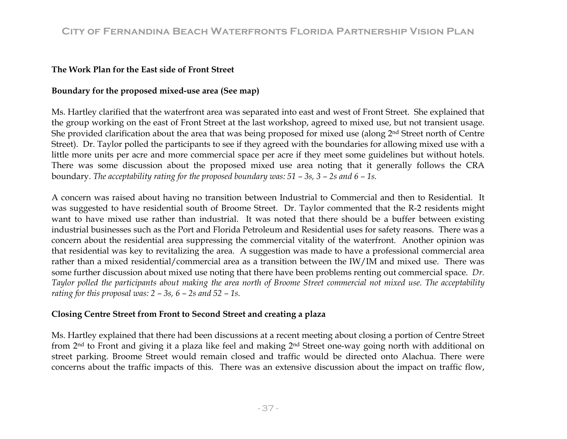### **The Work Plan for the East side of Front Street**

### **Boundary for the proposed mixed-use area (See map)**

Ms. Hartley clarified that the waterfront area was separated into east and west of Front Street. She explained that the group working on the east of Front Street at the last workshop, agreed to mixed use, but not transient usage. She provided clarification about the area that was being proposed for mixed use (along 2<sup>nd</sup> Street north of Centre Street). Dr. Taylor polled the participants to see if they agreed with the boundaries for allowing mixed use with a little more units per acre and more commercial space per acre if they meet some guidelines but without hotels. There was some discussion about the proposed mixed use area noting that it generally follows the CRA boundary. *The acceptability rating for the proposed boundary was: 51 – 3s, 3 – 2s and 6 – 1s.*

A concern was raised about having no transition between Industrial to Commercial and then to Residential. It was suggested to have residential south of Broome Street. Dr. Taylor commented that the R-2 residents might want to have mixed use rather than industrial. It was noted that there should be a buffer between existing industrial businesses such as the Port and Florida Petroleum and Residential uses for safety reasons. There was a concern about the residential area suppressing the commercial vitality of the waterfront. Another opinion was that residential was key to revitalizing the area. A suggestion was made to have a professional commercial area rather than a mixed residential/commercial area as a transition between the IW/IM and mixed use. There was some further discussion about mixed use noting that there have been problems renting out commercial space. *Dr. Taylor polled the participants about making the area north of Broome Street commercial not mixed use. The acceptability rating for this proposal was: 2 – 3s, 6 – 2s and 52 – 1s.*

### **Closing Centre Street from Front to Second Street and creating a plaza**

street parking. Broome Street would remain closed and traffic would be directed onto Alachua. There were concerns about the traffic impacts of this. There was an extensive discussion about the impact on traffic flow, Ms. Hartley explained that there had been discussions at a recent meeting about closing a portion of Centre Street from 2nd to Front and giving it a plaza like feel and making 2nd Street one-way going north with additional on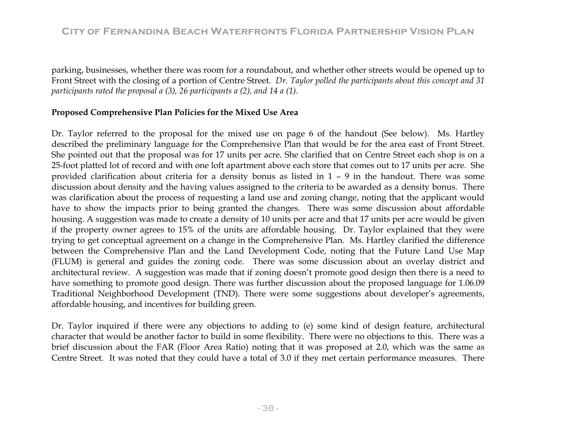parking, businesses, whether there was room for a roundabout, and whether other streets would be opened up to Front Street with the closing of a portion of Centre Street. *Dr. Taylor polled the participants about this concept and 31 participants rated the proposal a (3), 26 participants a (2), and 14 a (1).* 

### **Proposed Comprehensive Plan Policies for the Mixed Use Area**

Dr. Taylor referred to the proposal for the mixed use on page 6 of the handout (See below). Ms. Hartley described the preliminary language for the Comprehensive Plan that would be for the area east of Front Street. 25-foot platted lot of record and with one loft apartment above each store that comes out to 17 units per acre. She provided clarification about criteria for a density bonus as listed in 1 – 9 in the handout. There was some ha ve to show the impacts prior to being granted the changes. There was some discussion about affordable housing. A suggestion was made to create a density of 10 units per acre and that 17 units per acre would be given if the property owner agrees to 15% of the units are affordable housing. Dr. Taylor explained that they were trying to get conceptual agreement on a change in the Comprehensive Plan. Ms. Hartley clarified the difference between the Comprehensive Plan and the Land Development Code, noting that the Future Land Use Map (FLUM) is general and guides the zoning code. There was some discussion about an overlay district and Traditional Neighborhood Development (TND). There were some suggestions about developer's agreements, aff ordable housing, and incentives for building green. She pointed out that the proposal was for 17 units per acre. She clarified that on Centre Street each shop is on a discussion about density and the having values assigned to the criteria to be awarded as a density bonus. There was clarification about the process of requesting a land use and zoning change, noting that the applicant would architectural review. A suggestion was made that if zoning doesn't promote good design then there is a need to have something to promote good design. There was further discussion about the proposed language for 1.06.09

Dr. Taylor inquired if there were any objections to adding to (e) some kind of design feature, architectural cha racter that would be another factor to build in some flexibility. There were no objections to this. There was a Ce ntre Street. It was noted that they could have a total of 3.0 if they met certain performance measures. There brief discussion about the FAR (Floor Area Ratio) noting that it was proposed at 2.0, which was the same as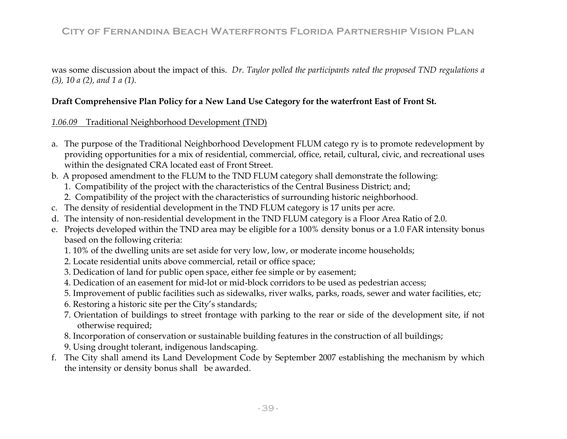was some discussion about the impact of this. *Dr. Taylor polled the participants rated the proposed TND regulations a (3), 10 a (2), and 1 a (1).* 

### **Draft Comprehensive Plan Policy for a New Land Use Category for the waterfront East of Front St.**

#### *1.06.09* Traditional Neighborhood Development (TND)

- a. The purpose of the Traditional Neighborhood Developm ent FLUM catego ry is to promote redevelopment by providing opportunities for a mix of residential, commercial, office, retail, cultural, civic, and recreational uses within the designated CRA located east of Front Street.
- b. A proposed amendment to the FLUM to the TND FLUM category shall demonstrate the following:
	- 1. Compatibility of the project with the characteristics of the Central Business District; and;
	- 2. Compatibility of the project with the characteristics of surrounding historic neighborhood.
- c. The density of residential development in the TND FLUM category is 17 units per acre.
- d. The intensity of non-residential development in the TND FLUM category is a Floor Area Ratio of 2.0.
- e. Projects developed within the TND area may be eligible for a 100% density bonus or a 1.0 FAR intensity bonus based on the following criteria:
	- 1. 10% of the dwelling units are set aside for very low, low, or moderate income households;
	- 2. Locate residential units above commercial, retail or office space;
	- 3. Dedication of land for public open space, either fee simple or by easement;
	- 4. Dedication of an easement for mid-lot or mid-block corridors to be used as pedestrian access;
	- 5. Improvement of public facilities such as sidewalks, river walks, parks, roads, sewer and water facilities, etc;
	- 6. Restoring a historic site per the City's standards;
	- 7. Orientation of buildings to street frontage with parking to the rear or side of the development site, if not otherwise required;
	- 8. Incorporation of conservation or sustainable building features in the construction of all buildings;
	- 9. Using drought tolerant, indigenous landscaping.
- f. The City shall amend its Land Development Code by September 2007 establishing the mechanism by which the intensity or density bonus shall be awarded.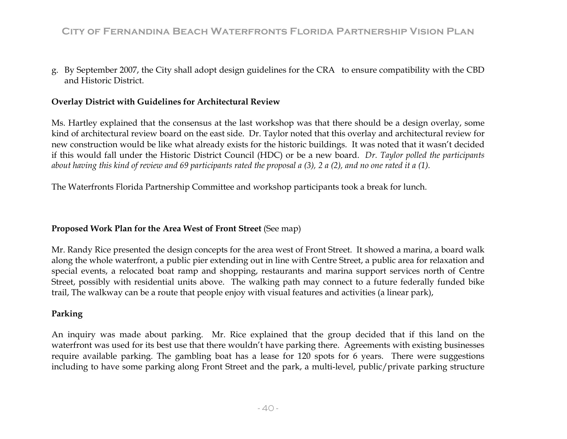g. By September 2007, the City shall adopt design guidelines for the CRA to ensure compatibility with the CBD and Historic District.

### **Overlay District with Guidelines for Architectural Review**

Ms. Hartley explained that the consensus at the last workshop was that there should be a design overlay, some kind of architectural review board on the east side. Dr. Taylor noted that this overlay and architectural review for new construction would be like what already exists for the historic buildings. It was noted that it wasn't decided if this would fall under the Historic District Council (HDC) or be a new board. *Dr. Taylor polled the participants about having this kind of review and 69 participants rated the proposal a (3), 2 a (2), and no one rated it a (1).* 

The Waterfronts Florida Partnership Committee and workshop participants took a break for lunch.

### **Proposed Work Plan for the Area West of Front Street** (See map)

trail, The walkway can be a route that people enjoy with visual features and activities (a linear park), Mr. Randy Rice presented the design concepts for the area west of Front Street. It showed a marina, a board walk along the whole waterfront, a public pier extending out in line with Centre Street, a public area for relaxation and special events, a relocated boat ramp and shopping, restaurants and marina support services north of Centre Street, possibly with residential units above. The walking path may connect to a future federally funded bike

### **Parking**

An inquiry was made about parking. Mr. Rice explained that the group decided that if this land on the waterfront was used for its best use that there wouldn't have parking there. Agreements with existing businesses require available parking. The gambling boat has a lease for 120 spots for 6 years. There were suggestions including to have some parking along Front Street and the park, a multi-level, public/private parking structure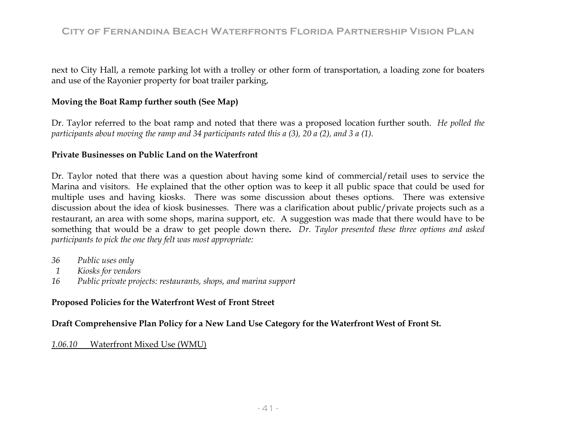next to City Hall, a remote parking lot with a trolley or other form of transportation, a loading zone for boaters and use of the Rayonier property for boat trailer parking,

### **Moving the Boat Ramp further south (See Map)**

Dr. Taylor referred to the boat ramp and noted that there was a proposed location further south. *He polled the participants about moving the ramp and 34 participants rated this a (3), 20 a (2), and 3 a (1).* 

### **Private Businesses on Public Land on the Waterfront**

multiple uses and having kiosks. There was some discussion about theses options. There was extensive dis cussion about the idea of kiosk businesses. There was a clarification about public/private projects such as a res taurant, an area with some shops, marina support, etc. A suggestion was made that there would have to be somet hing that would be a draw to get people down there**.** *Dr. Taylor presented these three options and asked partici pants to pick the one they felt was most appropriate:*  Dr. Taylor noted that there was a question about having some kind of commercial/retail uses to service the Marina and visitors. He explained that the other option was to keep it all public space that could be used for

- *36 Public uses only*
- *1 Kiosks for vendors*
- *16 Public private projects: restaurants, shops, and marina support*

### **Propo sed Policies for the Waterfront West of Front Street**

**Draft Comprehensive Plan Policy for a New Land Use Category for the Waterfront West of Front St.** 

#### *1.0 6.10* Waterfront Mixed Use (WMU)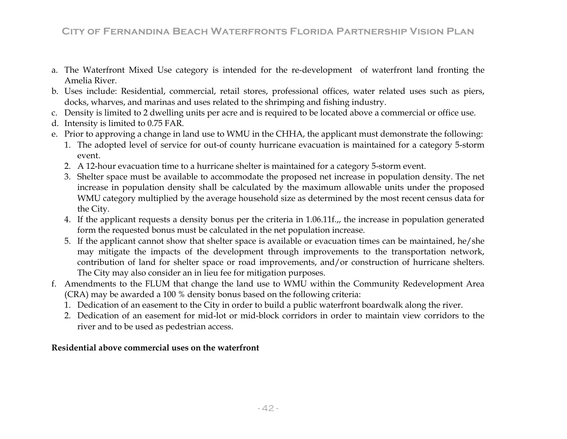- a. The Waterfront Mixed Use category is intended for the re-development of waterfront land fronting the Amelia River.
- b. Uses include: Residential, commercial, retail stores, professional offices, water related uses such as piers, docks, wharves, and marinas and uses related to the shrimping and fishing industry.
- c. Density is limited to 2 dwelling units per acre and is required to be located above a commercial or office use.
- d. Intensity is limited to 0.75 FAR.
- e. Prior to approving a change in land use to WMU in the CHHA, the applicant must demonstrate the following:
	- 1. The adopted level of service for out-of county hurricane evacuation is maintained for a category 5-storm event.
	- 2. A 12-hour evacuation time to a hurricane shelter is maintained for a category 5-storm event.
	- 3. Shelter space must be available to accommodate the proposed net increase in population density. The net increase in population density shall be calculated by the maximum allowable units under the proposed WMU category multiplied by the average household size as determined by the most recent census data for the City.
	- 4. If the applicant requests a density bonus per the criteria in 1.06.11f.,, the increase in population generated form the requested bonus must be calculated in the net population increase.
	- 5. If the applicant cannot show that shelter space is available or evacuation times can be maintained, he/she may mitigate the impacts of the development through improvements to the transportation network, contribution of land for shelter space or road improvements, and/or construction of hurricane shelters. The City may also consider an in lieu fee for mitigation purposes.
- f. Amendments to the FLUM that change the land use to WMU within the Community Redevelopment Area (CRA) may be awarded a 100 % density bonus based on the following criteria:
	- 1. Dedication of an easement to the City in order to build a public waterfront boardwalk along the river.
	- 2. Dedication of an easement for mid-lot or mid-block corridors in order to maintain view corridors to the river and to be used as pedestrian access.

### **Residential above commercial uses on the waterfront**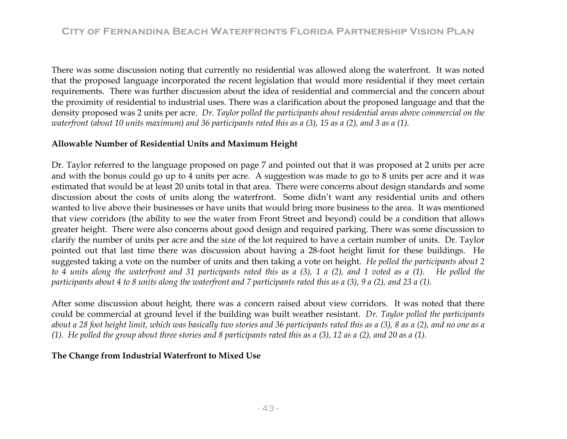There was some discussion noting that currently no residential was allowed along the waterfront. It was noted that the proposed language incorporated the recent legislation that would more residential if they meet certain requirements. There was further discussion about the idea of residential and commercial and the concern about the proximity of residential to industrial uses. There was a clarification about the proposed language and that the density proposed was 2 units per acre. *Dr. Taylor polled the participants about residential areas above commercial on the waterfront (about 10 units maximum) and 36 participants rated this as a (3), 15 as a (2), and 3 as a (1).*

### Allowable Number of Residential Units and Maximum Height

*e waterfront and 31 participants rated this as a (3), 1 a (2), and 1 voted as a (1). He polled the to 4 units along th articipants about 4 to 8 units along the waterfront and 7 participants rated this as a (3), 9 a (2), and 23 a (1). p* Dr. Taylor referred to the language proposed on page 7 and pointed out that it was proposed at 2 units per acre and with the bonus could go up to 4 units per acre. A suggestion was made to go to 8 units per acre and it was estimated that would be at least 20 units total in that area. There were concerns about design standards and some discussion about the costs of units along the waterfront. Some didn't want any residential units and others wanted to live above their businesses or have units that would bring more business to the area. It was mentioned that view corridors (the ability to see the water from Front Street and beyond) could be a condition that allows greater height. There were also concerns about good design and required parking. There was some discussion to clarify the number of units per acre and the size of the lot required to have a certain number of units. Dr. Taylor pointed out that last time there was discussion about having a 28-foot height limit for these buildings. He suggested taking a vote on the number of units and then taking a vote on height. *He polled the participants about 2* 

After some discussion about height, there was a concern raised about view corridors. It was noted that there *Taylor polled the participants*  could be commercial at ground level if the building was built weather resistant. *Dr.*  about a 28 foot height limit, which was basically two stories and 36 participants rated this as a (3), 8 as a (2), and no one as a *(1). He polled the group about three stories and 8 participants rated this as a (3), 12 as a (2), and 20 as a (1).* 

### The Change from Industrial Waterfront to Mixed Use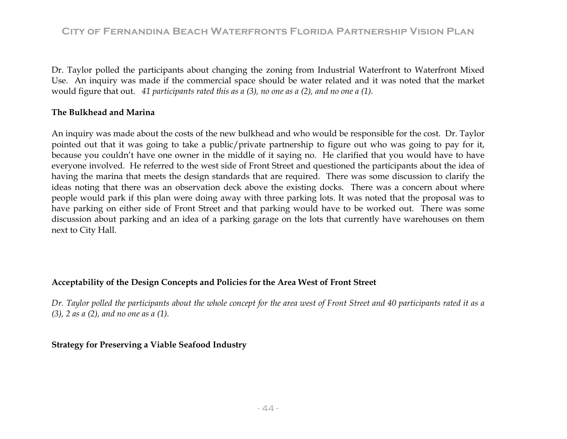Dr. Taylor polled the participants about changing the zoning from Industrial Waterfront to Waterfront Mixed Use. An inquiry was made if the commercial spac e should be water related and it was noted that the market would figure that out. *41 participants rated this as a (3), no one as a (2), and no one a (1).* 

### **The Bulkhead and Marina**

An inquiry was made about the costs of the new bulkhead and who would be responsible for the cost. Dr. Taylor pointed out that it was going to take a public/private partnership to figure out who was going to pay for it, having the marina that meets the design standards that are required. There was some discussion to clarify the ideas noting that there was an observation deck above the existing docks. There was a concern about where people would park if this plan were doing away with three parking lots. It was noted that the proposal was to have parking on either side of Front Street and that parking would have to be worked out. There was some discussion about parking and an idea of a parking garage on the lots that currently have warehouses on them next to City Hall. because you couldn't have one owner in the middle of it saying no. He clarified that you would have to have everyone involved. He referred to the west side of Front Street and questioned the participants about the idea of

### **Ac p r the Area West of Front Street ce tability of the Design Concepts and Policies fo**

Dr. Taylor polled the participants about the whole concept for the area west of Front Street and 40 participants rated it as a *(3), 2 as a (2), and no one as a (1).* 

### **Str <sup>e</sup> ndustry at gy for Preserving a Viable Seafood I**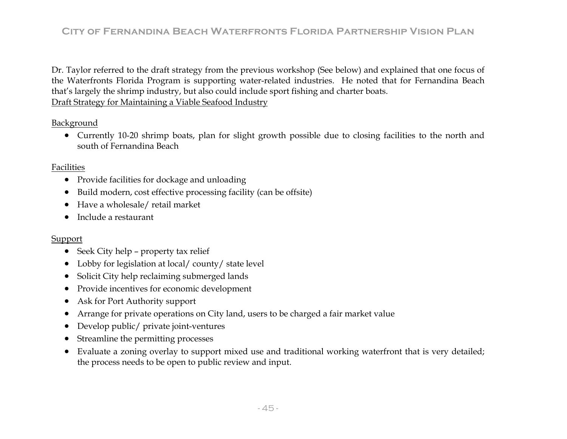Dr. Taylor referred to the draft strategy from the previous workshop (See below) and explained that one focus of that's largely the shrimp industry, but also could include sport fishing and charter boats. the Waterfronts Florida Program is supporting water-related industries. He noted that for Fernandina Beach Draft Strategy for Maintaining a Viable Seafood Industry

Background

• Currently 10-20 shrimp boats, plan for slight growth possible due to closing facilities to the north and south of Fernandina Beach

### Facilities

- Provide facilities for dockage and unloading
- $\bullet$ Build modern, cost effective processing facility (can be offsite)
- Have a wholesale/ retail market
- Include a restaurant

### <u>Support</u>

- Seek City help property tax relief
- Lobby for legislation at local/county/state level
- •Solicit City help reclaiming submerged lands
- $\bullet$ Provide incentives for economic development
- $\bullet$ Ask for Port Authority support
- •Arrange for private operations on City land, users to be charged a fair market value
- $\bullet$ Develop public/ private joint-ventures
- $\bullet$ Streamline the permitting processes
- Evaluate a zoning overlay to support mixed use and traditional working waterfront that is very detailed; the process needs to be open to public review and input.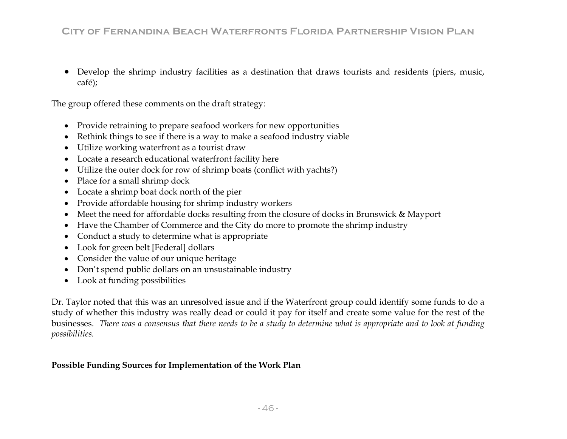• Develop the shrimp industry facilities as a destination that draws tourists and residents (piers, music, café);

The group offered these comments on the draft strategy:

- Provide retraining to prepare seafood workers for new opportunities
- Rethink things to see if there is a way to make a seafood industry viable •
- $\bullet$  Utilize working waterfront as a tourist draw •
- $\bullet$  Locate a research educational waterfront facility here  $\bullet$
- Utilize the outer dock for row of shrimp boats (conflict with yachts?)
- Place for a small shrimp dock  $\bullet$
- $\bullet$ • Locate a shrimp boat dock north of the pier
- $\bullet$ • Provide affordable housing for shrimp industry workers
- •• Meet the need for affordable docks resulting from the closure of docks in Brunswick & Mayport
- $\bullet$ • Have the Chamber of Commerce and the City do more to promote the shrimp industry
- Conduct a study to determine what is appropriate •
- Look for green belt [Federal] dollars •
- •• Consider the value of our unique heritage
- •Don't spend public d ollars on an unsustainable industry
- Look at funding poss ibilities

Dr. Taylor noted that this w as an unresolved issue and if the Waterfront group could identify some funds to do a study of whether this industry was really dead or could it pay for itself and create some value for the rest of the businesses. *There was a consensus that there needs to be a study to determine what is appropriate and to look at funding possibilities.*

### **Possible Funding Sources for Implementation of the Work Plan**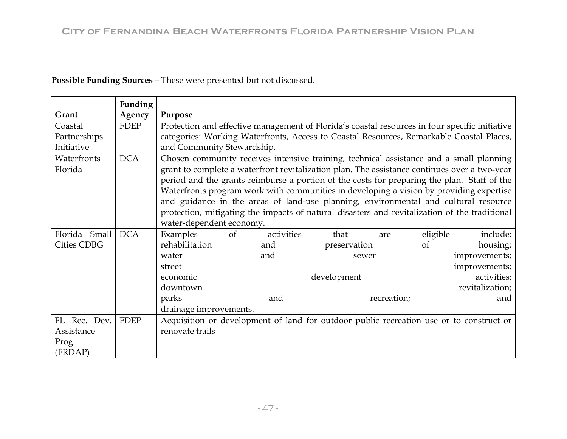| Possible Funding Sources - These were presented but not discussed. |  |  |
|--------------------------------------------------------------------|--|--|
|--------------------------------------------------------------------|--|--|

|                    | Funding     |                            |                                                                                                |            |              |             |          |                                                                                               |
|--------------------|-------------|----------------------------|------------------------------------------------------------------------------------------------|------------|--------------|-------------|----------|-----------------------------------------------------------------------------------------------|
| Grant              | Agency      | Purpose                    |                                                                                                |            |              |             |          |                                                                                               |
| Coastal            | <b>FDEP</b> |                            | Protection and effective management of Florida's coastal resources in four specific initiative |            |              |             |          |                                                                                               |
| Partnerships       |             |                            |                                                                                                |            |              |             |          | categories: Working Waterfronts, Access to Coastal Resources, Remarkable Coastal Places,      |
| Initiative         |             | and Community Stewardship. |                                                                                                |            |              |             |          |                                                                                               |
| Waterfronts        | <b>DCA</b>  |                            |                                                                                                |            |              |             |          | Chosen community receives intensive training, technical assistance and a small planning       |
| Florida            |             |                            |                                                                                                |            |              |             |          | grant to complete a waterfront revitalization plan. The assistance continues over a two-year  |
|                    |             |                            |                                                                                                |            |              |             |          | period and the grants reimburse a portion of the costs for preparing the plan. Staff of the   |
|                    |             |                            |                                                                                                |            |              |             |          | Waterfronts program work with communities in developing a vision by providing expertise       |
|                    |             |                            |                                                                                                |            |              |             |          | and guidance in the areas of land-use planning, environmental and cultural resource           |
|                    |             |                            |                                                                                                |            |              |             |          | protection, mitigating the impacts of natural disasters and revitalization of the traditional |
|                    |             | water-dependent economy.   |                                                                                                |            |              |             |          |                                                                                               |
| Florida Small      | <b>DCA</b>  | Examples                   | of                                                                                             | activities | that         | are         | eligible | include:                                                                                      |
| <b>Cities CDBG</b> |             | rehabilitation             |                                                                                                | and        |              |             | of       |                                                                                               |
|                    |             |                            |                                                                                                |            | preservation |             |          | housing;                                                                                      |
|                    |             | water                      |                                                                                                | and        | sewer        |             |          | improvements;                                                                                 |
|                    |             | street                     |                                                                                                |            |              |             |          | improvements;                                                                                 |
|                    |             | economic                   |                                                                                                |            | development  |             |          | activities;                                                                                   |
|                    |             | downtown                   |                                                                                                |            |              |             |          | revitalization;                                                                               |
|                    |             | parks                      |                                                                                                | and        |              | recreation; |          | and                                                                                           |
|                    |             | drainage improvements.     |                                                                                                |            |              |             |          |                                                                                               |
| FL Rec. Dev.       | <b>FDEP</b> |                            |                                                                                                |            |              |             |          | Acquisition or development of land for outdoor public recreation use or to construct or       |
| Assistance         |             | renovate trails            |                                                                                                |            |              |             |          |                                                                                               |
| Prog.              |             |                            |                                                                                                |            |              |             |          |                                                                                               |
| (FRDAP)            |             |                            |                                                                                                |            |              |             |          |                                                                                               |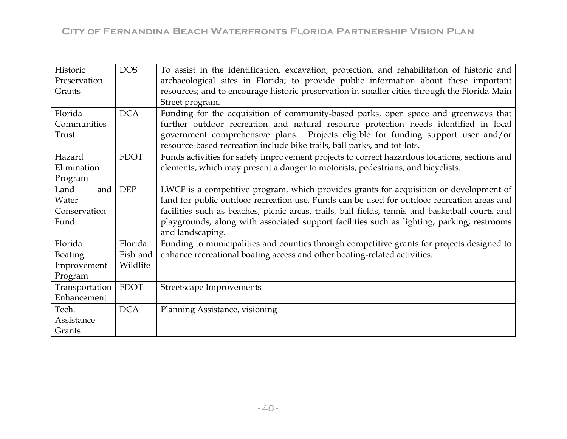| Historic<br>Preservation<br>Grants | <b>DOS</b>  | To assist in the identification, excavation, protection, and rehabilitation of historic and<br>archaeological sites in Florida; to provide public information about these important<br>resources; and to encourage historic preservation in smaller cities through the Florida Main<br>Street program. |
|------------------------------------|-------------|--------------------------------------------------------------------------------------------------------------------------------------------------------------------------------------------------------------------------------------------------------------------------------------------------------|
| Florida                            | <b>DCA</b>  | Funding for the acquisition of community-based parks, open space and greenways that                                                                                                                                                                                                                    |
| Communities                        |             | further outdoor recreation and natural resource protection needs identified in local                                                                                                                                                                                                                   |
| Trust                              |             | government comprehensive plans. Projects eligible for funding support user and/or<br>resource-based recreation include bike trails, ball parks, and tot-lots.                                                                                                                                          |
| Hazard                             | <b>FDOT</b> | Funds activities for safety improvement projects to correct hazardous locations, sections and                                                                                                                                                                                                          |
| Elimination                        |             | elements, which may present a danger to motorists, pedestrians, and bicyclists.                                                                                                                                                                                                                        |
| Program                            |             |                                                                                                                                                                                                                                                                                                        |
| and<br>Land                        | <b>DEP</b>  | LWCF is a competitive program, which provides grants for acquisition or development of                                                                                                                                                                                                                 |
| Water                              |             | land for public outdoor recreation use. Funds can be used for outdoor recreation areas and                                                                                                                                                                                                             |
| Conservation                       |             | facilities such as beaches, picnic areas, trails, ball fields, tennis and basketball courts and                                                                                                                                                                                                        |
| Fund                               |             | playgrounds, along with associated support facilities such as lighting, parking, restrooms<br>and landscaping.                                                                                                                                                                                         |
| Florida                            | Florida     | Funding to municipalities and counties through competitive grants for projects designed to                                                                                                                                                                                                             |
| <b>Boating</b>                     | Fish and    | enhance recreational boating access and other boating-related activities.                                                                                                                                                                                                                              |
| Improvement                        | Wildlife    |                                                                                                                                                                                                                                                                                                        |
| Program                            |             |                                                                                                                                                                                                                                                                                                        |
| Transportation                     | <b>FDOT</b> | Streetscape Improvements                                                                                                                                                                                                                                                                               |
| Enhancement                        |             |                                                                                                                                                                                                                                                                                                        |
| Tech.                              | <b>DCA</b>  | Planning Assistance, visioning                                                                                                                                                                                                                                                                         |
| Assistance                         |             |                                                                                                                                                                                                                                                                                                        |
| Grants                             |             |                                                                                                                                                                                                                                                                                                        |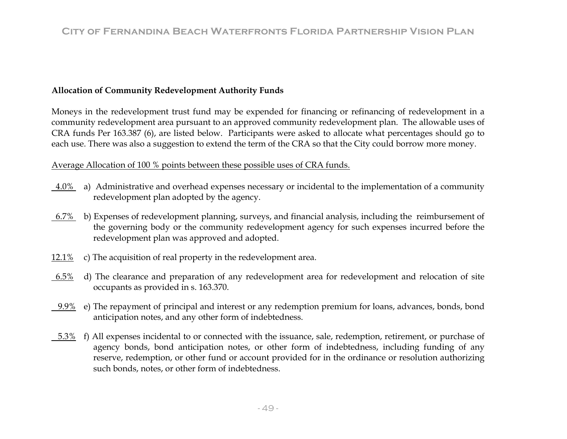### **Allocation of Community Redevelopment Authority Funds**

Moneys in the redevelopment trust fund may be expended for financing or refinancing of redevelopment in a community redevelopment area pursuant to an approved community redevelopment plan. The allowable uses of CRA funds Per 163.387 (6), are listed below. Participants were asked to allocate what percentages should go to each use. There was also a suggestion to extend the term of the CRA so that the City could borrow more money.

### Average Allocation of 100 % points between these possible uses of CRA funds.

- 4.0% a) Administrative and overhead expenses necessary or incidental to the implementation of a community redevelopment plan adopted by the agency.
- 6.7% b) Expenses of redevelopment planning, surveys, and financial analysis, including the reimbursement of the governing body or the community redevelopment agency for such expenses incurred before the redevelopment plan was approved and adopted.
- 12.1% c) The acquisition of real property in the redevelopment area.
- 6.5% d) The clearance and preparation of any redevelopment area for redevelopment and relocation of site occupants as provided in s. 163.370.
- $9.9\%$  e) The repayment of principal and interest or any redemption premium for loans, advances, bonds, bond anticipation notes, and any other form of indebtedness.
- <u>−5.3%</u> f) All expenses incidental to or connected with the issuance, sale, redemption, retirement, or purchase of agency bonds, bond anticipation notes, or other form of indebtedness, including funding of any reserve, redemption, or other fund or account provided for in the ordinance or resolution authorizing such bonds, notes, or other form of indebtedness.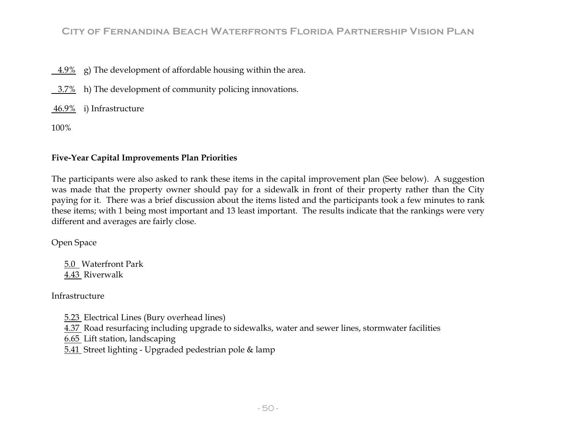4.9% g) The development of affordable housing within the area.

3.7% h) The development of community policing innovations.

46.9% i) Infrastructure

100%

### **Five-Year Capital Improvements Plan Priorities**

The participants were also asked to rank these items in the capital improvement plan (See below). A suggestion was made that the property owner should pay for a sidewalk in front of their property rather than the City paying for it. There was a brief discussion about the items listed and the participants took a few minutes to rank these items; with 1 being most important and 13 least important. The results indicate that the rankings were very different and averages are fairly close.

Open Space

5.0 Waterfront Park 4.43 Riverwalk

Infrastructure

5.23 Electrical Lines (Bury overhead lines)

4.37 Road resurfacing including upgrade to sidewalks, water and sewer lines, stormwater facilities

6.65 Lift station, landscaping

5.41 Street lighting - Upgraded pedestrian pole & lamp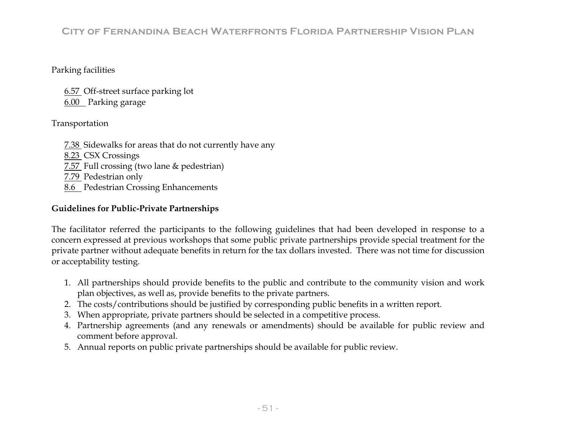### Parking facilities

6.57 Off-street surface parking lot 6.00 Parking garage

### Transportation

- 7.38 Sidewalks for areas that do not currently have any
- 8.23 CSX Crossings
- 7.57 Full crossing (two lane & pedestrian)
- 7.79 Pedestrian only
- 8.6 Pedestrian Crossing Enhancements

### **Guidelines for Public-Private Partnerships**

Th e facilitator referred the participants to the following guidelines that had been developed in response to a pri vate partner without adequate benefits in return for the tax dollars invested. There was not time for discussion or acceptability testing. concern expressed at previous workshops that some public private partnerships provide special treatment for the

- 1. All partnerships should provide benefits to the public and contribute to the community vision and work plan objectives, as well as, provide benefits to the private partners.
- 2. The costs/contributions should be justified by corresponding public benefits in a written report.
- When appropriate, private partners should be selected in a competitive process. 3.
- 4. Partnership agreements (and any renewals or amendments) should be available for public review and comment before approval.
- 5. Annual reports on public private partnerships should be available for public review.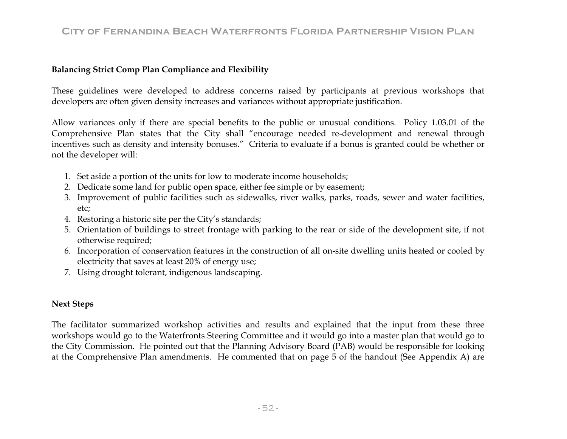### **Balancing Strict Comp Plan Compliance and Flexibility**

These guidelines were developed to address concerns raised by partic ipants at previous workshops that developers are often given density increases and variances without appropriate justification.

Comprehensive Plan states that the City shall "encourage needed re-development and renewal through incentives such as density and intensity bonuses." Criteria to evaluate if a bonus is granted could be whether or not the developer will: Allow variances only if there are special benefits to the public or unusual conditions. Policy 1.03.01 of the

- 1. Set aside a portion of the units for low to moderate income households;
- 2. Dedicate some land for public open space, either fee simple or by easement;
- 3. Improvement of public facilities such as sidewalks, river walks, parks, roads, sewer and water facilities, etc;
- 4. Restoring a historic site per the City's standards;
- 5. Orientation of buildings to street frontage with parking to the rear or side of the development site, if not otherwise required;
- 6. Incorporation of conservation features in the construction of all on-site dwelling units heated or cooled by electricity that saves at least 20% of energy use;
- 7. Using drought tolerant, indigenous landscaping.

### **Next S teps**

The facilitator summarized workshop activities and results and explained that the input from these three works hops would go to the Waterfronts Steering Committee and it would go into a master plan that would go to the City Commission. He pointed out that the Planning Advisory Board (PAB) would be responsible for looking at the Comprehensive Plan amendments. He commented that on page 5 of the handout (See Appendix A) are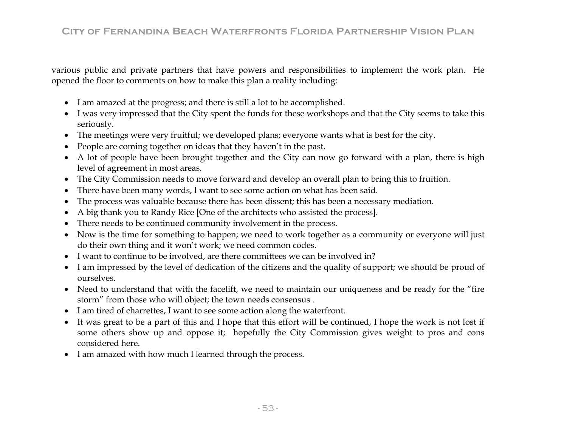various public and private partners that have powers and responsibilities to implement the work plan. He opened the floor to comments on how to make this plan a reality including:

- I am amazed at the progress; and there is still a lot to be accomplished.
- I was very impressed that the City spent the funds for these workshops and that the City seems to take this seriously.
- $\bullet$  The meetings were very fruitful; we developed plans; everyone wants what is best for the city.  $\bullet$
- •People are coming together on ideas that they haven't in the past.
- A lot of people have been brought together and the City can now go forward with a plan, there is high level of agreement in most areas.
- The City Commission needs to move forward and develop an overall plan to bring this to fruition.
- $\bullet$ There have been many words, I want to see some action on what has been said.
- •The process was valuable because there has been dissent; this has been a necessary mediation.
- $\bullet$ A big thank you to Randy Rice [One of the architects who assisted the process].
- $\bullet$ There needs to be continued community involvement in the process.
- Now is the time for something to happen; we need to work together as a community or everyone will just do their own thing and it won't work; we need common codes.
- I want to continue to be involved, are there committees we can be involved in?
- I am impressed by the level of dedication of the citizens and the quality of support; we should be proud of ourselves.
- Need to understand that with the facelift, we need to maintain our uniqueness and be ready for the "fire storm" from those who will object; the town needs consensus .
- I am tired of charrettes, I want to see some action along the waterfront.
- It was great to be a part of this and I hope that this effort will be continued, I hope the work is not lost if some others show up and oppose it; hopefully the City Commission gives weight to pros and cons considered here.
- I am amazed with how much I learned through the process.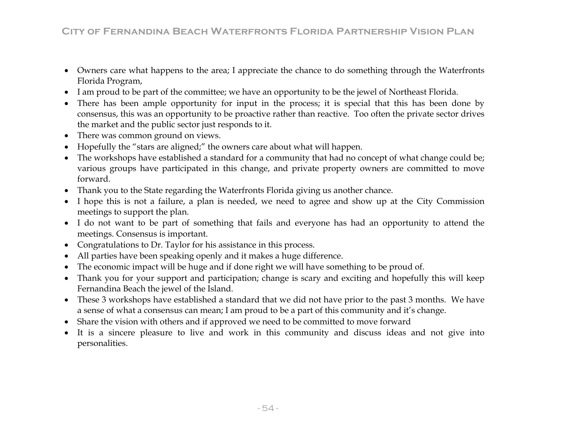- Owners care what happens to the area; I appreciate the chance to do something through the Waterfronts Florida Program,
- I am proud to be part of the committee; we have an opportunity to be the jewel of Northeast Florida.
- There has been ample opportunity for input in the process; it is special that this has been done by consensus, this was an opportunity to be proactive rather than reactive. Too often the private sector drives the market and the public sector just responds to it.
- $\bullet$ There was common ground on views.
- Hopefully the "stars are aligned;" the owners care about what will happen.
- various groups have participated in this change, and private property owners are committed to move forward. • The workshops have established a standard for a community that had no concept of what change could be;
- Thank you to the State regarding the Waterfronts Florida giving us another chance.
- I hope this is not a failure, a plan is needed, we need to agree and show up at the City Commission meetings to support the plan.
- I do not want to be part of something that fails and everyone has had an opportunity to attend the meetings. Consensus is important.
- Congratulations to Dr. Taylor for his assistance in this process.
- $\bullet$ All parties have been speaking openly and it makes a huge difference.
- •The economic impact will be huge and if done right we will have something to be proud of.
- Thank you for your support and participation; change is scary and exciting and hopefully this will keep Fernandina Beach the jewel of the Island.
- These 3 workshops have established a standard that we did not have prior to the past 3 months. We have a sense of what a consensus can mean; I am proud to be a part of this community and it's change.
- Share the vision with others and if approved we need to be committed to move forward
- It is a sincere pleasure to live and work in this community and discuss ideas and not give into personalities.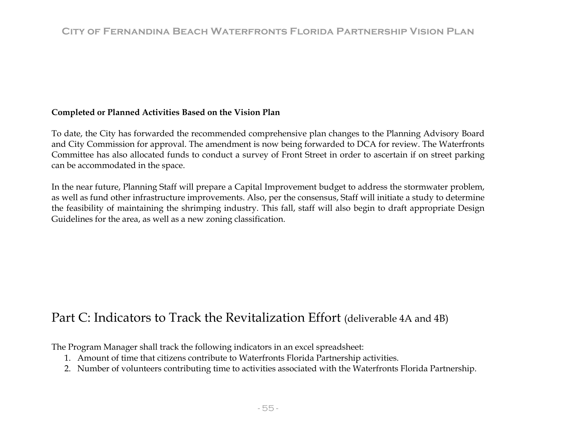### Completed or Planned Activities Based on the Vision Plan

To date, the City has forwarded the recommended comprehensive plan changes to the Planning Advisory Board and City Commission for approval. The amendment is now being forwarded to DCA for review. The Waterfronts Committee has also allocated funds to conduct a survey of Front Street in order to ascertain if on street parking can be accommodated in the space.

In the near future, Planning Staff will prepare a Capital Improvement budget to address the stormwater problem, as well as fund other infrastructure improvements. Also, per the consensus, Staff will initiate a study to determine the feasibility of maintaining the shrimping industry. This fall, staff will also begin to draft appropriate Design Guidelines for the area, as well as a new zoning classification.

# Part C: Indicators to Track the Revitalization Effort (deliverable 4A and 4B)

he Program Manager shall track the following indicators in an excel spreadsheet: T

- 1. Amount of time that citizens contribute to Waterfronts Florida Partnership activities.
- 2. Number of volunteers contributing time to activities associated with the Waterfronts Florida Partnership.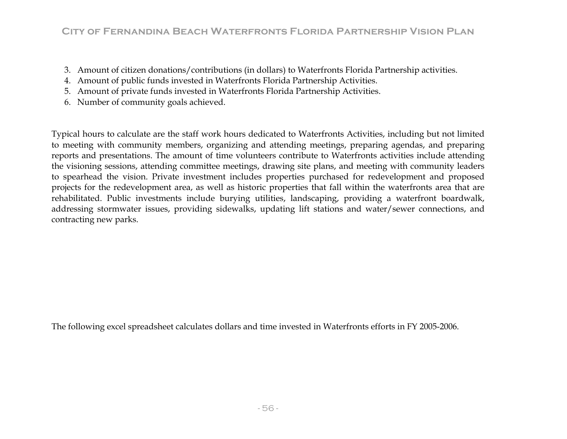- 3. Amount of citizen donations/contributions (in dollars) to Waterfronts Florida Partnership activities.
- 4. Amount of public funds invested in Waterfronts Florida Partnership Activities.
- 5. Amount of private funds invested in Waterfronts Florida Partnership Activities.
- 6. Number of community goals achieved.

Typical hours to calculate are the staff work hours dedicated to Waterfronts Activities, including but not limited to meeting with community members, organizing and attending meetings, preparing agendas, and preparing reports and presentations. The amount of time volunteers contribute to Waterfronts activities include attending the visioning sessions, attending committee meetings, drawing site plans, and meeting with community leaders to spearhead the vision. Private investment includes properties purchased for redevelopment and proposed projects for the redevelopment area, as well as historic properties that fall within the waterfronts area that are rehabilitated. Public investments include burying utilities, landscaping, providing a waterfront boardwalk, addressing stormwater issues, providing sidewalks, updating lift stations and water/sewer connections, and c ontracting new parks.

The following excel spreadsheet calculates dollars and time invested in Waterfronts efforts in FY 2005-2006.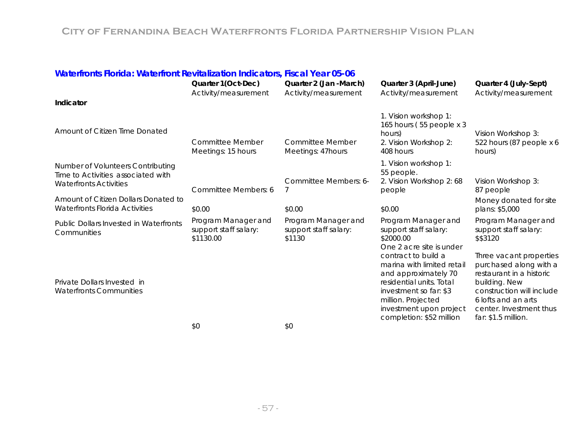| Waterfronts Florida: Waterfront Revitalization Indicators, Fiscal Year 05-06                             |                                                           |                                                        |                                                                                                                                                                                                              |                                                                                                                                                                                                      |
|----------------------------------------------------------------------------------------------------------|-----------------------------------------------------------|--------------------------------------------------------|--------------------------------------------------------------------------------------------------------------------------------------------------------------------------------------------------------------|------------------------------------------------------------------------------------------------------------------------------------------------------------------------------------------------------|
|                                                                                                          | Quarter 1(Oct-Dec)                                        | Quarter 2 (Jan -March)                                 | Quarter 3 (April-June)                                                                                                                                                                                       | Quarter 4 (July-Sept)                                                                                                                                                                                |
|                                                                                                          | Activity/measurement                                      | Activity/measurement                                   | Activity/measurement                                                                                                                                                                                         | Activity/measurement                                                                                                                                                                                 |
| Indicator                                                                                                |                                                           |                                                        |                                                                                                                                                                                                              |                                                                                                                                                                                                      |
| Amount of Citizen Time Donated                                                                           | <b>Committee Member</b><br>Meetings: 15 hours             | <b>Committee Member</b><br>Meetings: 47hours           | 1. Vision workshop 1:<br>165 hours (55 people x 3<br>hours)<br>2. Vision Workshop 2:<br>408 hours                                                                                                            | Vision Workshop 3:<br>522 hours (87 people x 6<br>hours)                                                                                                                                             |
| Number of Volunteers Contributing<br>Time to Activities associated with<br><b>Waterfronts Activities</b> | Committee Members: 6                                      | Committee Members: 6-                                  | 1. Vision workshop 1:<br>55 people.<br>2. Vision Workshop 2: 68<br>people                                                                                                                                    | Vision Workshop 3:<br>87 people                                                                                                                                                                      |
| Amount of Citizen Dollars Donated to<br><b>Waterfronts Florida Activities</b>                            | \$0.00                                                    | \$0.00                                                 | \$0.00                                                                                                                                                                                                       | Money donated for site<br>plans: \$5,000                                                                                                                                                             |
| Public Dollars Invested in Waterfronts<br>Communities                                                    | Program Manager and<br>support staff salary:<br>\$1130.00 | Program Manager and<br>support staff salary:<br>\$1130 | Program Manager and<br>support staff salary:<br>\$2000.00<br>One 2 acre site is under                                                                                                                        | Program Manager and<br>support staff salary:<br>\$\$3120                                                                                                                                             |
| Private Dollars Invested in<br><b>Waterfronts Communities</b>                                            |                                                           |                                                        | contract to build a<br>marina with limited retail<br>and approximately 70<br>residential units. Total<br>investment so far: \$3<br>million. Projected<br>investment upon project<br>completion: \$52 million | Three vacant properties<br>purchased along with a<br>restaurant in a historic<br>building. New<br>construction will include<br>6 lofts and an arts<br>center. Investment thus<br>far: \$1.5 million. |

\$0 \$0 \$0